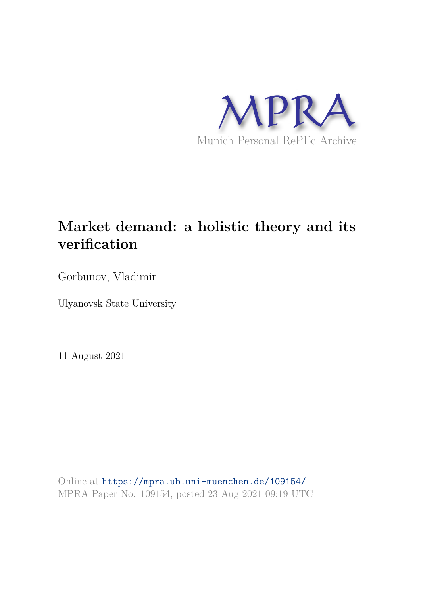

# **Market demand: a holistic theory and its verification**

Gorbunov, Vladimir

Ulyanovsk State University

11 August 2021

Online at https://mpra.ub.uni-muenchen.de/109154/ MPRA Paper No. 109154, posted 23 Aug 2021 09:19 UTC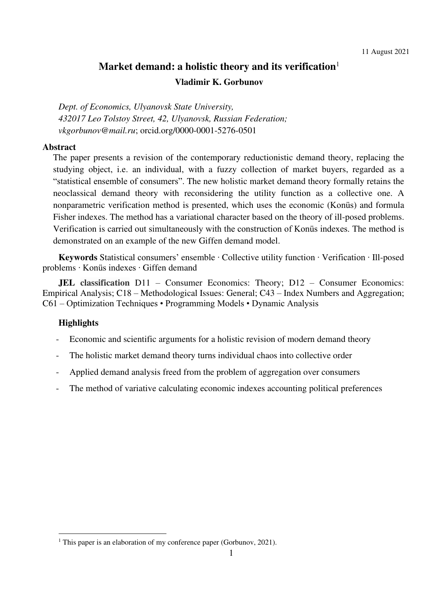## **Market demand: a holistic theory and its verification Vladimir K. Gorbunov**

*Dept. of Economics, Ulyanovsk State University, 432017 Leo Tolstoy Street, 42, Ulyanovsk, Russian Federation; vkgorbunov@mail.ru*; orcid.org/0000-0001-5276-0501

## **Abstract**

The paper presents a revision of the contemporary reductionistic demand theory, replacing the studying object, i.e. an individual, with a fuzzy collection of market buyers, regarded as a "statistical ensemble of consumers". The new holistic market demand theory formally retains the neoclassical demand theory with reconsidering the utility function as a collective one. A nonparametric verification method is presented, which uses the economic (Konüs) and formula Fisher indexes. The method has a variational character based on the theory of ill-posed problems. Verification is carried out simultaneously with the construction of Konüs indexes. The method is demonstrated on an example of the new Giffen demand model.

**Keywords** Statistical consumers' ensemble ∙ Collective utility function ∙ Verification ∙ Ill-posed problems ∙ Konüs indexes ∙ Giffen demand

**JEL classification** D11 – Consumer Economics: Theory; D12 – Consumer Economics: Empirical Analysis; C18 – Methodological Issues: General; C43 – Index Numbers and Aggregation; C61 – Optimization Techniques • Programming Models • Dynamic Analysis

## **Highlights**

- Economic and scientific arguments for a holistic revision of modern demand theory
- The holistic market demand theory turns individual chaos into collective order
- Applied demand analysis freed from the problem of aggregation over consumers
- The method of variative calculating economic indexes accounting political preferences

<sup>&</sup>lt;sup>1</sup> This paper is an elaboration of my conference paper (Gorbunov, 2021).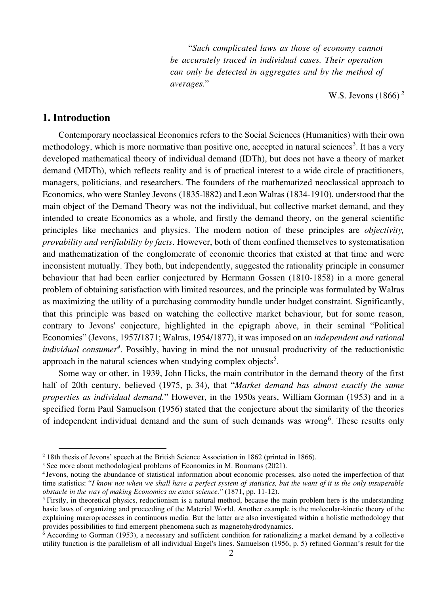"*Such complicated laws as those of economy cannot be accurately traced in individual cases. Their operation can only be detected in aggregates and by the method of averages.*"

W.S. Jevons (1866)*<sup>2</sup>*

## **1. Introduction**

Contemporary neoclassical Economics refers to the Social Sciences (Humanities) with their own methodology, which is more normative than positive one, accepted in natural sciences<sup>3</sup>. It has a very developed mathematical theory of individual demand (IDTh), but does not have a theory of market demand (MDTh), which reflects reality and is of practical interest to a wide circle of practitioners, managers, politicians, and researchers. The founders of the mathematized neoclassical approach to Economics, who were Stanley Jevons (1835-l882) and Leon Walras (1834-1910), understood that the main object of the Demand Theory was not the individual, but collective market demand, and they intended to create Economics as a whole, and firstly the demand theory, on the general scientific principles like mechanics and physics. The modern notion of these principles are *objectivity, provability and verifiability by facts*. However, both of them confined themselves to systematisation and mathematization of the conglomerate of economic theories that existed at that time and were inconsistent mutually. They both, but independently, suggested the rationality principle in consumer behaviour that had been earlier conjectured by Hermann Gossen (1810-1858) in a more general problem of obtaining satisfaction with limited resources, and the principle was formulated by Walras as maximizing the utility of a purchasing commodity bundle under budget constraint. Significantly, that this principle was based on watching the collective market behaviour, but for some reason, contrary to Jevons' conjecture, highlighted in the epigraph above, in their seminal "Political Economies" (Jevons, 1957**/**1871; Walras, 1954/1877), it was imposed on an *independent and rational individual consumer<sup>4</sup>* . Possibly, having in mind the not unusual productivity of the reductionistic approach in the natural sciences when studying complex objects<sup>5</sup>.

Some way or other, in 1939, John Hicks, the main contributor in the demand theory of the first half of 20th century, believed (1975, p. 34), that "*Market demand has almost exactly the same properties as individual demand.*" However, in the 1950s years, William Gorman (1953) and in a specified form Paul Samuelson (1956) stated that the conjecture about the similarity of the theories of independent individual demand and the sum of such demands was wrong<sup>6</sup>. These results only

<sup>2</sup> 18th thesis of Jevons' speech at the British Science Association in 1862 (printed in 1866).

<sup>&</sup>lt;sup>3</sup> See more about methodological problems of Economics in M. Boumans (2021).

<sup>4</sup>Jevons, noting the abundance of statistical information about economic processes, also noted the imperfection of that time statistics: "*I know not when we shall have a perfect system of statistics, but the want of it is the only insuperable obstacle in the way of making Economics an exact science*." (1871, pp. 11-12).

<sup>&</sup>lt;sup>5</sup> Firstly, in theoretical physics, reductionism is a natural method, because the main problem here is the understanding basic laws of organizing and proceeding of the Material World. Another example is the molecular-kinetic theory of the explaining macroprocesses in continuous media. But the latter are also investigated within a holistic methodology that provides possibilities to find emergent phenomena such as magnetohydrodynamics.

<sup>&</sup>lt;sup>6</sup> According to Gorman (1953), a necessary and sufficient condition for rationalizing a market demand by a collective utility function is the parallelism of all individual Engel's lines. Samuelson (1956, p. 5) refined Gorman's result for the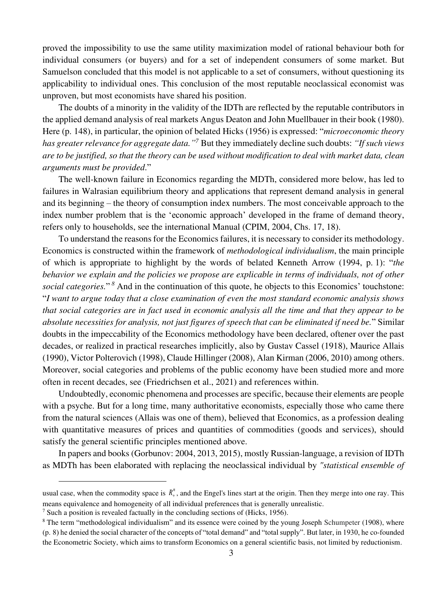proved the impossibility to use the same utility maximization model of rational behaviour both for individual consumers (or buyers) and for a set of independent consumers of some market. But Samuelson concluded that this model is not applicable to a set of consumers, without questioning its applicability to individual ones. This conclusion of the most reputable neoclassical economist was unproven, but most economists have shared his position.

The doubts of a minority in the validity of the IDTh are reflected by the reputable contributors in the applied demand analysis of real markets Angus Deaton and John Muellbauer in their book (1980). Here (p. 148), in particular, the opinion of belated Hicks (1956) is expressed: "*microeconomic theory has greater relevance for aggregate data." 7* But they immediately decline such doubts: *"If such views are to be justified, so that the theory can be used without modification to deal with market data, clean arguments must be provided*."

The well-known failure in Economics regarding the MDTh, considered more below, has led to failures in Walrasian equilibrium theory and applications that represent demand analysis in general and its beginning – the theory of consumption index numbers. The most conceivable approach to the index number problem that is the 'economic approach' developed in the frame of demand theory, refers only to households, see the international Manual (CPIM, 2004, Chs. 17, 18).

To understand the reasons for the Economics failures, it is necessary to consider its methodology. Economics is constructed within the framework of *methodological individualism*, the main principle of which is appropriate to highlight by the words of belated Kenneth Arrow (1994, p. 1): "*the behavior we explain and the policies we propose are explicable in terms of individuals, not of other*  social categories."<sup>8</sup> And in the continuation of this quote, he objects to this Economics' touchstone: "*I want to argue today that a close examination of even the most standard economic analysis shows that social categories are in fact used in economic analysis all the time and that they appear to be absolute necessities for analysis, not just figures of speech that can be eliminated if need be.*" Similar doubts in the impeccability of the Economics methodology have been declared, oftener over the past decades, or realized in practical researches implicitly, also by Gustav Cassel (1918), Maurice Allais (1990), Victor Polterovich (1998), Claude Hillinger (2008), Alan Kirman (2006, 2010) among others. Moreover, social categories and problems of the public economy have been studied more and more often in recent decades, see (Friedrichsen et al., 2021) and references within.

Undoubtedly, economic phenomena and processes are specific, because their elements are people with a psyche. But for a long time, many authoritative economists, especially those who came there from the natural sciences (Allais was one of them), believed that Economics, as a profession dealing with quantitative measures of prices and quantities of commodities (goods and services), should satisfy the general scientific principles mentioned above.

In papers and books (Gorbunov: 2004, 2013, 2015), mostly Russian-language, a revision of IDTh as MDTh has been elaborated with replacing the neoclassical individual by *"statistical ensemble of* 

usual case, when the commodity space is  $R_+^n$ , and the Engel's lines start at the origin. Then they merge into one ray. This means equivalence and homogeneity of all individual preferences that is generally unrealistic.

 $<sup>7</sup>$  Such a position is revealed factually in the concluding sections of (Hicks, 1956).</sup>

<sup>&</sup>lt;sup>8</sup> The term "methodological individualism" and its essence were coined by the young Joseph Schumpeter (1908), where (p. 8) he denied the social character of the concepts of "total demand" and "total supply". But later, in 1930, he co-founded the Econometric Society, which aims to transform Economics on a general scientific basis, not limited by reductionism.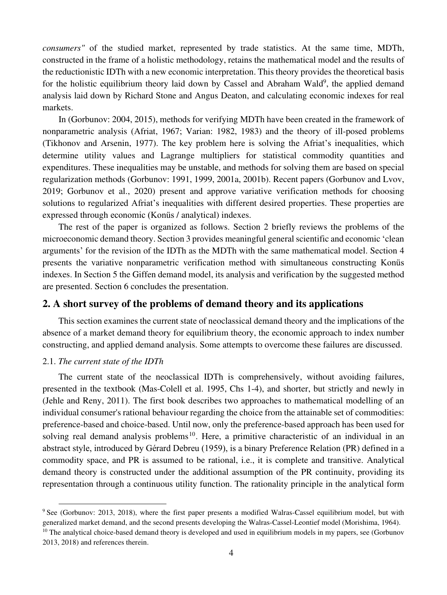*consumers"* of the studied market, represented by trade statistics. At the same time, MDTh, constructed in the frame of a holistic methodology, retains the mathematical model and the results of the reductionistic IDTh with a new economic interpretation. This theory provides the theoretical basis for the holistic equilibrium theory laid down by Cassel and Abraham Wald<sup>9</sup>, the applied demand analysis laid down by Richard Stone and Angus Deaton, and calculating economic indexes for real markets.

In (Gorbunov: 2004, 2015), methods for verifying MDTh have been created in the framework of nonparametric analysis (Afriat, 1967; Varian: 1982, 1983) and the theory of ill-posed problems (Tikhonov and Arsenin, 1977). The key problem here is solving the Afriat's inequalities, which determine utility values and Lagrange multipliers for statistical commodity quantities and expenditures. These inequalities may be unstable, and methods for solving them are based on special regularization methods (Gorbunov: 1991, 1999, 2001a, 2001b). Recent papers (Gorbunov and Lvov, 2019; Gorbunov et al., 2020) present and approve variative verification methods for choosing solutions to regularized Afriat's inequalities with different desired properties. These properties are expressed through economic (Konüs / analytical) indexes.

The rest of the paper is organized as follows. Section 2 briefly reviews the problems of the microeconomic demand theory. Section 3 provides meaningful general scientific and economic 'clean arguments' for the revision of the IDTh as the MDTh with the same mathematical model. Section 4 presents the variative nonparametric verification method with simultaneous constructing Konüs indexes. In Section 5 the Giffen demand model, its analysis and verification by the suggested method are presented. Section 6 concludes the presentation.

## **2. A short survey of the problems of demand theory and its applications**

This section examines the current state of neoclassical demand theory and the implications of the absence of a market demand theory for equilibrium theory, the economic approach to index number constructing, and applied demand analysis. Some attempts to overcome these failures are discussed.

## 2.1. *The current state of the IDTh*

The current state of the neoclassical IDTh is comprehensively, without avoiding failures, presented in the textbook (Mas-Colell et al. 1995, Chs 1-4), and shorter, but strictly and newly in (Jehle and Reny, 2011). The first book describes two approaches to mathematical modelling of an individual consumer's rational behaviour regarding the choice from the attainable set of commodities: preference-based and choice-based. Until now, only the preference-based approach has been used for solving real demand analysis problems<sup>10</sup>. Here, a primitive characteristic of an individual in an abstract style, introduced by Gérard Debreu (1959), is a binary Preference Relation (PR) defined in a commodity space, and PR is assumed to be rational, i.e., it is complete and transitive. Analytical demand theory is constructed under the additional assumption of the PR continuity, providing its representation through a continuous utility function. The rationality principle in the analytical form

<sup>9</sup> See (Gorbunov: 2013, 2018), where the first paper presents a modified Walras-Cassel equilibrium model, but with generalized market demand, and the second presents developing the Walras-Cassel-Leontief model (Morishima, 1964).

 $10$  The analytical choice-based demand theory is developed and used in equilibrium models in my papers, see (Gorbunov 2013, 2018) and references therein.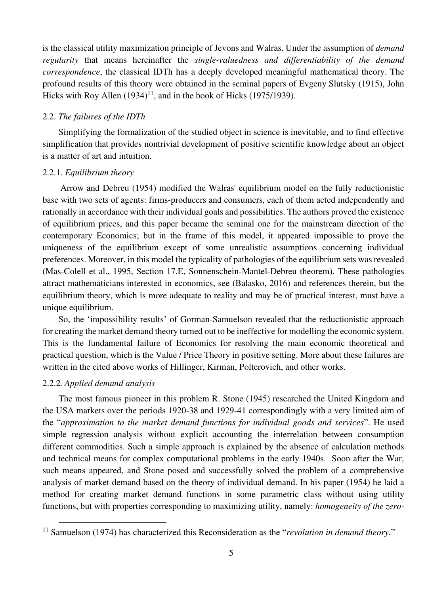is the classical utility maximization principle of Jevons and Walras. Under the assumption of *demand regularity* that means hereinafter the *single-valuedness and differentiability of the demand correspondence*, the classical IDTh has a deeply developed meaningful mathematical theory. The profound results of this theory were obtained in the seminal papers of Evgeny Slutsky (1915), John Hicks with Roy Allen  $(1934)^{11}$ , and in the book of Hicks  $(1975/1939)$ .

## 2.2. *The failures of the IDTh*

Simplifying the formalization of the studied object in science is inevitable, and to find effective simplification that provides nontrivial development of positive scientific knowledge about an object is a matter of art and intuition.

## 2.2.1. *Equilibrium theory*

Arrow and Debreu (1954) modified the Walras' equilibrium model on the fully reductionistic base with two sets of agents: firms-producers and consumers, each of them acted independently and rationally in accordance with their individual goals and possibilities. The authors proved the existence of equilibrium prices, and this paper became the seminal one for the mainstream direction of the contemporary Economics; but in the frame of this model, it appeared impossible to prove the uniqueness of the equilibrium except of some unrealistic assumptions concerning individual preferences. Moreover, in this model the typicality of pathologies of the equilibrium sets was revealed (Mas-Colell et al., 1995, Section 17.E, Sonnenschein-Mantel-Debreu theorem). These pathologies attract mathematicians interested in economics, see (Balasko, 2016) and references therein, but the equilibrium theory, which is more adequate to reality and may be of practical interest, must have a unique equilibrium.

So, the 'impossibility results' of Gorman-Samuelson revealed that the reductionistic approach for creating the market demand theory turned out to be ineffective for modelling the economic system. This is the fundamental failure of Economics for resolving the main economic theoretical and practical question, which is the Value / Price Theory in positive setting. More about these failures are written in the cited above works of Hillinger, Kirman, Polterovich, and other works.

## 2.2.2*. Applied demand analysis*

The most famous pioneer in this problem R. Stone (1945) researched the United Kingdom and the USA markets over the periods 1920-38 and 1929-41 correspondingly with a very limited aim of the "*approximation to the market demand functions for individual goods and services*". He used simple regression analysis without explicit accounting the interrelation between consumption different commodities. Such a simple approach is explained by the absence of calculation methods and technical means for complex computational problems in the early 1940s. Soon after the War, such means appeared, and Stone posed and successfully solved the problem of a comprehensive analysis of market demand based on the theory of individual demand. In his paper (1954) he laid a method for creating market demand functions in some parametric class without using utility functions, but with properties corresponding to maximizing utility, namely: *homogeneity of the zero-*

<sup>&</sup>lt;sup>11</sup> Samuelson (1974) has characterized this Reconsideration as the "*revolution in demand theory*."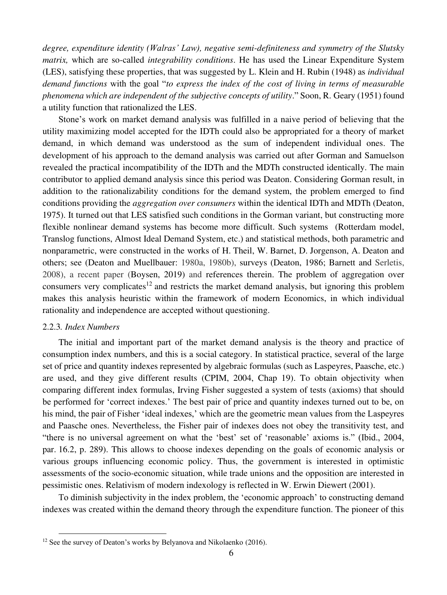*degree, expenditure identity (Walras' Law), negative semi-definiteness and symmetry of the Slutsky matrix,* which are so-called *integrability conditions*. He has used the Linear Expenditure System (LES), satisfying these properties, that was suggested by L. Klein and H. Rubin (1948) as *individual demand functions* with the goal "*to express the index of the cost of living in terms of measurable phenomena which are independent of the subjective concepts of utility*." Soon, R. Geary (1951) found a utility function that rationalized the LES.

Stone's work on market demand analysis was fulfilled in a naive period of believing that the utility maximizing model accepted for the IDTh could also be appropriated for a theory of market demand, in which demand was understood as the sum of independent individual ones. The development of his approach to the demand analysis was carried out after Gorman and Samuelson revealed the practical incompatibility of the IDTh and the MDTh constructed identically. The main contributor to applied demand analysis since this period was Deaton. Considering Gorman result, in addition to the rationalizability conditions for the demand system, the problem emerged to find conditions providing the *aggregation over consumers* within the identical IDTh and MDTh (Deaton, 1975). It turned out that LES satisfied such conditions in the Gorman variant, but constructing more flexible nonlinear demand systems has become more difficult. Such systems (Rotterdam model, Translog functions, Almost Ideal Demand System, etc.) and statistical methods, both parametric and nonparametric, were constructed in the works of H. Theil, W. Barnet, D. Jorgenson, A. Deaton and others; see (Deaton and Muellbauer: 1980a, 1980b), surveys (Deaton, 1986; Barnett and Serletis, 2008), a recent paper (Boysen, 2019) and references therein. The problem of aggregation over consumers very complicates<sup>12</sup> and restricts the market demand analysis, but ignoring this problem makes this analysis heuristic within the framework of modern Economics, in which individual rationality and independence are accepted without questioning.

## 2.2.3*. Index Numbers*

The initial and important part of the market demand analysis is the theory and practice of consumption index numbers, and this is a social category. In statistical practice, several of the large set of price and quantity indexes represented by algebraic formulas (such as Laspeyres, Paasche, etc.) are used, and they give different results (CPIM, 2004, Chap 19). To obtain objectivity when comparing different index formulas, Irving Fisher suggested a system of tests (axioms) that should be performed for 'correct indexes.' The best pair of price and quantity indexes turned out to be, on his mind, the pair of Fisher 'ideal indexes,' which are the geometric mean values from the Laspeyres and Paasche ones. Nevertheless, the Fisher pair of indexes does not obey the transitivity test, and "there is no universal agreement on what the 'best' set of 'reasonable' axioms is." (Ibid., 2004, par. 16.2, p. 289). This allows to choose indexes depending on the goals of economic analysis or various groups influencing economic policy. Thus, the government is interested in optimistic assessments of the socio-economic situation, while trade unions and the opposition are interested in pessimistic ones. Relativism of modern indexology is reflected in W. Erwin Diewert (2001).

To diminish subjectivity in the index problem, the 'economic approach' to constructing demand indexes was created within the demand theory through the expenditure function. The pioneer of this

<sup>&</sup>lt;sup>12</sup> See the survey of Deaton's works by Belyanova and Nikolaenko (2016).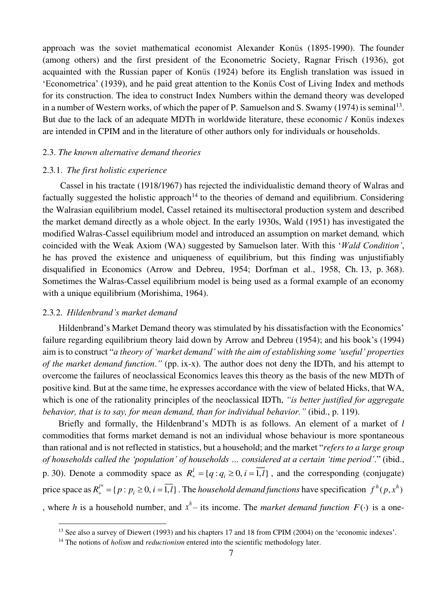approach was the soviet mathematical economist Alexander Konüs (1895-1990). The founder (among others) and the first president of the Econometric Society, Ragnar Frisch (1936), got acquainted with the Russian paper of Konüs (1924) before its English translation was issued in 'Econometrica' (1939), and he paid great attention to the Konüs Cost of Living Index and methods for its construction. The idea to construct Index Numbers within the demand theory was developed in a number of Western works, of which the paper of P. Samuelson and S. Swamy (1974) is seminal<sup>13</sup>. But due to the lack of an adequate MDTh in worldwide literature, these economic / Konüs indexes are intended in CPIM and in the literature of other authors only for individuals or households.

## 2.3. *The known alternative demand theories*

## 2.3*.*1. *The first holistic experience*

Cassel in his tractate (1918/1967) has rejected the individualistic demand theory of Walras and factually suggested the holistic approach<sup>14</sup> to the theories of demand and equilibrium. Considering the Walrasian equilibrium model, Cassel retained its multisectoral production system and described the market demand directly as a whole object. In the early 1930s, Wald (1951) has investigated the modified Walras-Cassel equilibrium model and introduced an assumption on market demand*,* which coincided with the Weak Axiom (WA) suggested by Samuelson later. With this '*Wald Condition'*, he has proved the existence and uniqueness of equilibrium, but this finding was unjustifiably disqualified in Economics (Arrow and Debreu, 1954; Dorfman et al., 1958, Ch. 13, p. 368). Sometimes the Walras-Cassel equilibrium model is being used as a formal example of an economy with a unique equilibrium (Morishima, 1964).

### 2.3*.*2. *Hildenbrand's market demand*

Hildenbrand's Market Demand theory was stimulated by his dissatisfaction with the Economics' failure regarding equilibrium theory laid down by Arrow and Debreu (1954); and his book's (1994) aim is to construct "*a theory of 'market demand' with the aim of establishing some 'useful' properties of the market demand function*.*"* (pp. ix-x). The author does not deny the IDTh, and his attempt to overcome the failures of neoclassical Economics leaves this theory as the basis of the new MDTh of positive kind. But at the same time, he expresses accordance with the view of belated Hicks, that WA, which is one of the rationality principles of the neoclassical IDTh, *"is better justified for aggregate behavior, that is to say, for mean demand, than for individual behavior."* (ibid., p. 119).

Briefly and formally, the Hildenbrand's MDTh is as follows. An element of a market of *l* commodities that forms market demand is not an individual whose behaviour is more spontaneous than rational and is not reflected in statistics, but a household; and the market "*refers to a large group of households called the 'population' of households … considered at a certain 'time period'*." (ibid., p. 30). Denote a commodity space as  $R_+^l = \{q : q_i \ge 0, i = 1, l\}$ , and the corresponding (conjugate) price space as  $R_+^{l*} = \{p : p_i \ge 0, i = \overline{1, l}\}\.$  The household demand functions have specification  $f^h(p, x^h)$ , where *h* is a household number, and  $x^h$  – its income. The *market demand function*  $F(\cdot)$  is a one-

<sup>&</sup>lt;sup>13</sup> See also a survey of Diewert (1993) and his chapters 17 and 18 from CPIM (2004) on the 'economic indexes'.

<sup>&</sup>lt;sup>14</sup> The notions of *holism* and *reductionism* entered into the scientific methodology later.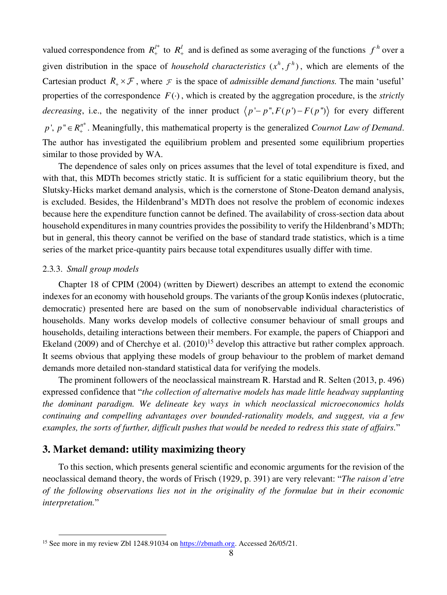valued correspondence from  $R_+^{l*}$  to  $R_+^{l}$  and is defined as some averaging of the functions  $f^h$  over a given distribution in the space of *household characteristics*  $(x^h, f^h)$ , which are elements of the Cartesian product  $R_+ \times \mathcal{F}$ , where  $\mathcal F$  is the space of *admissible demand functions*. The main 'useful' properties of the correspondence  $F(\cdot)$ , which is created by the aggregation procedure, is the *strictly decreasing*, i.e., the negativity of the inner product  $\langle p - p, F(p) - F(p) \rangle$  for every different  $p'$ ,  $p'' \in R_+^{n*}$ . Meaningfully, this mathematical property is the generalized *Cournot Law of Demand*. The author has investigated the equilibrium problem and presented some equilibrium properties similar to those provided by WA.

The dependence of sales only on prices assumes that the level of total expenditure is fixed, and with that, this MDTh becomes strictly static. It is sufficient for a static equilibrium theory, but the Slutsky-Hicks market demand analysis, which is the cornerstone of Stone-Deaton demand analysis, is excluded. Besides, the Hildenbrand's MDTh does not resolve the problem of economic indexes because here the expenditure function cannot be defined. The availability of cross-section data about household expenditures in many countries provides the possibility to verify the Hildenbrand's MDTh; but in general, this theory cannot be verified on the base of standard trade statistics, which is a time series of the market price-quantity pairs because total expenditures usually differ with time.

#### 2.3*.*3. *Small group models*

Chapter 18 of CPIM (2004) (written by Diewert) describes an attempt to extend the economic indexes for an economy with household groups. The variants of the group Konüs indexes (plutocratic, democratic) presented here are based on the sum of nonobservable individual characteristics of households. Many works develop models of collective consumer behaviour of small groups and households, detailing interactions between their members. For example, the papers of Chiappori and Ekeland (2009) and of Cherchye et al.  $(2010)^{15}$  develop this attractive but rather complex approach. It seems obvious that applying these models of group behaviour to the problem of market demand demands more detailed non-standard statistical data for verifying the models.

The prominent followers of the neoclassical mainstream R. Harstad and R. Selten (2013, p. 496) expressed confidence that "*the collection of alternative models has made little headway supplanting the dominant paradigm. We delineate key ways in which neoclassical microeconomics holds continuing and compelling advantages over bounded-rationality models, and suggest, via a few examples, the sorts of further, difficult pushes that would be needed to redress this state of affairs.*"

## **3. Market demand: utility maximizing theory**

To this section, which presents general scientific and economic arguments for the revision of the neoclassical demand theory, the words of Frisch (1929, p. 391) are very relevant: "*The raison d'etre of the following observations lies not in the originality of the formulae but in their economic interpretation.*"

<sup>&</sup>lt;sup>15</sup> See more in my review Zbl 1248.91034 on [https://zbmath.org.](https://zbmath.org/) Accessed 26/05/21.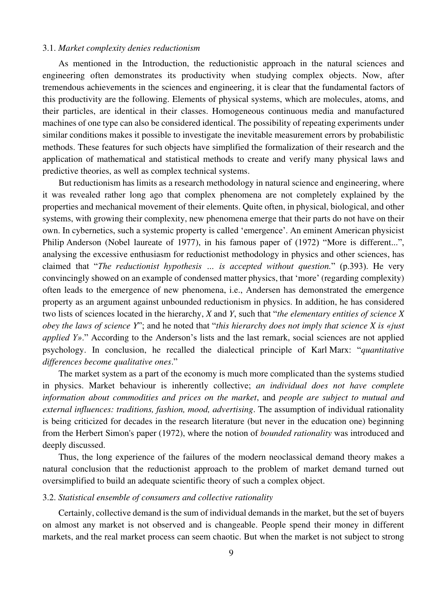#### 3.1. *Market complexity denies reductionism*

As mentioned in the Introduction, the reductionistic approach in the natural sciences and engineering often demonstrates its productivity when studying complex objects. Now, after tremendous achievements in the sciences and engineering, it is clear that the fundamental factors of this productivity are the following. Elements of physical systems, which are molecules, atoms, and their particles, are identical in their classes. Homogeneous continuous media and manufactured machines of one type can also be considered identical. The possibility of repeating experiments under similar conditions makes it possible to investigate the inevitable measurement errors by probabilistic methods. These features for such objects have simplified the formalization of their research and the application of mathematical and statistical methods to create and verify many physical laws and predictive theories, as well as complex technical systems.

But reductionism has limits as a research methodology in natural science and engineering, where it was revealed rather long ago that complex phenomena are not completely explained by the properties and mechanical movement of their elements. Quite often, in physical, biological, and other systems, with growing their complexity, new phenomena emerge that their parts do not have on their own. In cybernetics, such a systemic property is called 'emergence'. An eminent American physicist Philip Anderson (Nobel laureate of 1977), in his famous paper of (1972) "More is different...", analysing the excessive enthusiasm for reductionist methodology in physics and other sciences, has claimed that "*The reductionist hypothesis … is accepted without question.*" (p.393). He very convincingly showed on an example of condensed matter physics, that 'more' (regarding complexity) often leads to the emergence of new phenomena, i.e., Andersen has demonstrated the emergence property as an argument against unbounded reductionism in physics. In addition, he has considered two lists of sciences located in the hierarchy, *X* and *Y*, such that "*the elementary entities of science X obey the laws of science Y*"; and he noted that "*this hierarchy does not imply that science X is «just applied Y».*" According to the Anderson's lists and the last remark, social sciences are not applied psychology. In conclusion, he recalled the dialectical principle of Karl Marx: "*quantitative differences become qualitative ones*."

The market system as a part of the economy is much more complicated than the systems studied in physics. Market behaviour is inherently collective; *an individual does not have complete information about commodities and prices on the market*, and *people are subject to mutual and external influences: traditions, fashion, mood, advertising*. The assumption of individual rationality is being criticized for decades in the research literature (but never in the education one) beginning from the Herbert Simon's paper (1972), where the notion of *bounded rationality* was introduced and deeply discussed.

Thus, the long experience of the failures of the modern neoclassical demand theory makes a natural conclusion that the reductionist approach to the problem of market demand turned out oversimplified to build an adequate scientific theory of such a complex object.

## 3.2. *Statistical ensemble of consumers and collective rationality*

Certainly, collective demand is the sum of individual demands in the market, but the set of buyers on almost any market is not observed and is changeable. People spend their money in different markets, and the real market process can seem chaotic. But when the market is not subject to strong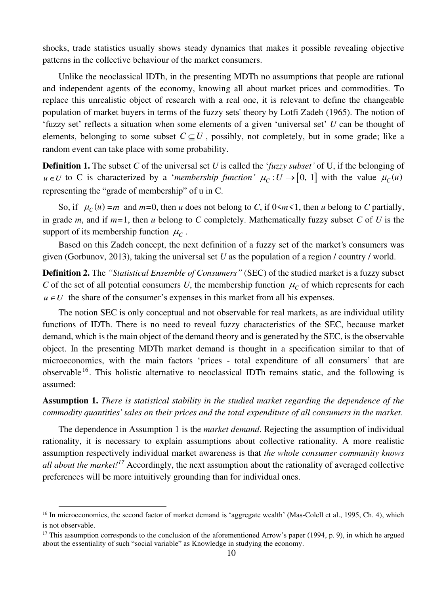shocks, trade statistics usually shows steady dynamics that makes it possible revealing objective patterns in the collective behaviour of the market consumers.

Unlike the neoclassical IDTh, in the presenting MDTh no assumptions that people are rational and independent agents of the economy, knowing all about market prices and commodities. To replace this unrealistic object of research with a real one, it is relevant to define the changeable population of market buyers in terms of the fuzzy sets' theory by Lotfi Zadeh (1965). The notion of 'fuzzy set' reflects a situation when some elements of a given 'universal set' *U* can be thought of elements, belonging to some subset  $C \subseteq U$ , possibly, not completely, but in some grade; like a random event can take place with some probability.

**Definition 1.** The subset *C* of the universal set *U* is called the '*fuzzy subset'* of U, if the belonging of  $u \in U$  to C is characterized by a *'membership function'*  $\mu_C : U \to [0, 1]$  with the value  $\mu_C(u)$ representing the "grade of membership" of u in C.

So, if  $\mu_C(u) = m$  and  $m=0$ , then *u* does not belong to *C*, if  $0 \le m \le 1$ , then *u* belong to *C* partially, in grade *m*, and if *m=*1, then *u* belong to *C* completely. Mathematically fuzzy subset *C* of *U* is the support of its membership function  $\mu_C$ .

Based on this Zadeh concept, the next definition of a fuzzy set of the market*'*s consumers was given (Gorbunov, 2013), taking the universal set *U* as the population of a region / country / world.

**Definition 2.** The *"Statistical Ensemble of Consumers"* (SEC) of the studied market is a fuzzy subset *C* of the set of all potential consumers *U*, the membership function  $\mu_c$  of which represents for each  $u \in U$  the share of the consumer's expenses in this market from all his expenses.

The notion SEC is only conceptual and not observable for real markets, as are individual utility functions of IDTh. There is no need to reveal fuzzy characteristics of the SEC, because market demand, which is the main object of the demand theory and is generated by the SEC, is the observable object. In the presenting MDTh market demand is thought in a specification similar to that of microeconomics, with the main factors 'prices - total expenditure of all consumers' that are observable<sup>16</sup>. This holistic alternative to neoclassical IDTh remains static, and the following is assumed:

**Assumption 1.** *There is statistical stability in the studied market regarding the dependence of the commodity quantities' sales on their prices and the total expenditure of all consumers in the market.* 

The dependence in Assumption 1 is the *market demand*. Rejecting the assumption of individual rationality, it is necessary to explain assumptions about collective rationality. A more realistic assumption respectively individual market awareness is that *the whole consumer community knows all about the market!<sup>17</sup>* Accordingly, the next assumption about the rationality of averaged collective preferences will be more intuitively grounding than for individual ones.

<sup>&</sup>lt;sup>16</sup> In microeconomics, the second factor of market demand is 'aggregate wealth' (Mas-Colell et al., 1995, Ch. 4), which is not observable.

<sup>&</sup>lt;sup>17</sup> This assumption corresponds to the conclusion of the aforementioned Arrow's paper (1994, p. 9), in which he argued about the essentiality of such "social variable" as Knowledge in studying the economy.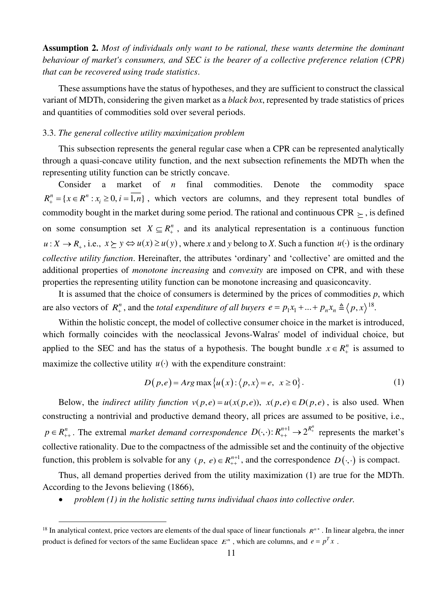**Assumption 2.** *Most of individuals only want to be rational, these wants determine the dominant behaviour of market's consumers, and SEC is the bearer of a collective preference relation (CPR) that can be recovered using trade statistics*.

These assumptions have the status of hypotheses, and they are sufficient to construct the classical variant of MDTh, considering the given market as a *black box*, represented by trade statistics of prices and quantities of commodities sold over several periods.

## 3.3. *The general collective utility maximization problem*

This subsection represents the general regular case when a CPR can be represented analytically through a quasi-concave utility function, and the next subsection refinements the MDTh when the representing utility function can be strictly concave.

Consider a market of *n* final commodities. Denote the commodity space  ${R}_{+}^{n} = \{x \in \mathbb{R}^{n} : x_{i} \geq 0, i = 1, n\}$ , which vectors are columns, and they represent total bundles of commodity bought in the market during some period. The rational and continuous CPR  $\succ$  , is defined on some consumption set  $X \subseteq R^n$ , and its analytical representation is a continuous function  $u: X \to R_+$ , i.e.,  $x \succeq y \Leftrightarrow u(x) \ge u(y)$ , where *x* and *y* belong to *X*. Such a function  $u(\cdot)$  is the ordinary *collective utility function*. Hereinafter, the attributes 'ordinary' and 'collective' are omitted and the additional properties of *monotone increasing* and *convexity* are imposed on CPR, and with these properties the representing utility function can be monotone increasing and quasiconcavity.

It is assumed that the choice of consumers is determined by the prices of commodities  $p$ , which are also vectors of  $R_+^n$ , and the *total expenditure of all buyers*  $e = p_1 x_1 + ... + p_n x_n \triangleq \langle p, x \rangle^{18}$ .

Within the holistic concept, the model of collective consumer choice in the market is introduced, which formally coincides with the neoclassical Jevons-Walras' model of individual choice, but applied to the SEC and has the status of a hypothesis. The bought bundle  $x \in R_+^n$  is assumed to maximize the collective utility  $u(\cdot)$  with the expenditure constraint:

$$
D(p,e) = Arg \max\{u(x): \langle p, x \rangle = e, \ x \ge 0\}.
$$
 (1)

Below, the *indirect utility function*  $v(p,e) = u(x(p,e))$ ,  $x(p,e) \in D(p,e)$ , is also used. When constructing a nontrivial and productive demand theory, all prices are assumed to be positive, i.e.,  $p \in R_{++}^n$ . The extremal *market demand correspondence*  $D(\cdot, \cdot): R_{++}^{n+1} \to 2^{R_+^n}$  represents the market's collective rationality. Due to the compactness of the admissible set and the continuity of the objective function, this problem is solvable for any  $(p, e) \in R_{++}^{n+1}$ , and the correspondence  $D(\cdot, \cdot)$  is compact.

Thus, all demand properties derived from the utility maximization (1) are true for the MDTh. According to the Jevons believing (1866),

• *problem (1) in the holistic setting turns individual chaos into collective order.* 

<sup>&</sup>lt;sup>18</sup> In analytical context, price vectors are elements of the dual space of linear functionals  $R^{n*}$ . In linear algebra, the inner product is defined for vectors of the same Euclidean space  $E^n$ , which are columns, and  $e = p^T x$ .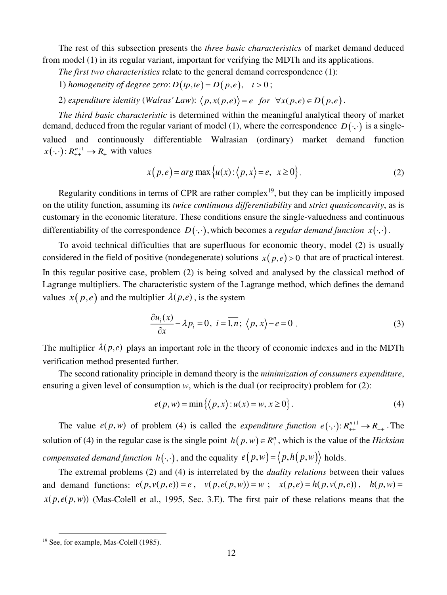The rest of this subsection presents the *three basic characteristics* of market demand deduced from model (1) in its regular variant, important for verifying the MDTh and its applications.

*The first two characteristics* relate to the general demand correspondence (1):

1) *homogeneity of degree zero*:  $D(tp, te) = D(p, e), t > 0;$ 

2) expenditure identity (Walras' Law):  $\langle p, x(p,e) \rangle = e$  for  $\forall x(p,e) \in D(p,e)$ .

*The third basic characteristic* is determined within the meaningful analytical theory of market demand, deduced from the regular variant of model (1), where the correspondence  $D(\cdot, \cdot)$  is a singlevalued and continuously differentiable Walrasian (ordinary) market demand function  $x(\cdot, \cdot) : R_{++}^{n+1} \to R_+$  with values

$$
x(p,e) = arg \max \{u(x) : \langle p, x \rangle = e, x \ge 0\}.
$$
 (2)

Regularity conditions in terms of CPR are rather complex<sup>19</sup>, but they can be implicitly imposed on the utility function, assuming its *twice continuous differentiability* and *strict quasiconcavity*, as is customary in the economic literature. These conditions ensure the single-valuedness and continuous differentiability of the correspondence  $D(\cdot, \cdot)$ , which becomes a *regular demand function*  $x(\cdot, \cdot)$ .

To avoid technical difficulties that are superfluous for economic theory, model (2) is usually considered in the field of positive (nondegenerate) solutions  $x(p, e) > 0$  that are of practical interest. In this regular positive case, problem (2) is being solved and analysed by the classical method of Lagrange multipliers. The characteristic system of the Lagrange method, which defines the demand values  $x(p,e)$  and the multiplier  $\lambda(p,e)$ , is the system

$$
\frac{\partial u_i(x)}{\partial x} - \lambda p_i = 0, \ i = \overline{1, n}; \ \langle p, x \rangle - e = 0 \ . \tag{3}
$$

The multiplier  $\lambda(p, e)$  plays an important role in the theory of economic indexes and in the MDTh verification method presented further.

The second rationality principle in demand theory is the *minimization of consumers expenditure*, ensuring a given level of consumption *w*, which is the dual (or reciprocity) problem for (2):

$$
e(p, w) = \min\left\{ \langle p, x \rangle : u(x) = w, x \ge 0 \right\}.
$$
 (4)

The value  $e(p, w)$  of problem (4) is called the *expenditure function*  $e(\cdot, \cdot): R_{++}^{n+1} \to R_{++}$ . The solution of (4) in the regular case is the single point  $h(p, w) \in R_+^n$ , which is the value of the *Hicksian compensated demand function*  $h(\cdot, \cdot)$ , and the equality  $e(p, w) = \langle p, h(p, w) \rangle$  holds.

The extremal problems (2) and (4) is interrelated by the *duality relations* between their values and demand functions:  $e(p, v(p, e)) = e$ ,  $v(p, e(p, w)) = w$ ;  $x(p, e) = h(p, v(p, e))$ ,  $h(p, w) =$  $x(p,e(p,w))$  (Mas-Colell et al., 1995, Sec. 3.E). The first pair of these relations means that the

<sup>&</sup>lt;sup>19</sup> See, for example, Mas-Colell (1985).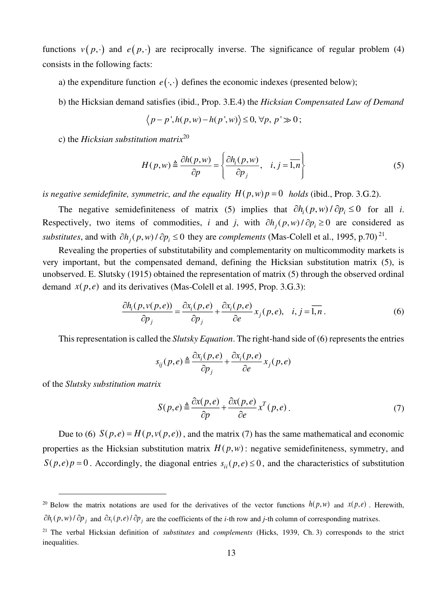functions  $v(p, \cdot)$  and  $e(p, \cdot)$  are reciprocally inverse. The significance of regular problem (4) consists in the following facts:

- a) the expenditure function  $e(\cdot, \cdot)$  defines the economic indexes (presented below);
- b) the Hicksian demand satisfies (ibid., Prop. 3.E.4) the *Hicksian Compensated Law of Demand*

$$
\langle p-p^{\prime}, h(p, w)-h(p^{\prime}, w)\rangle \leq 0, \forall p, p^{\prime} \gg 0;
$$

c) the *Hicksian substitution matrix*<sup>20</sup>

$$
H(p, w) \triangleq \frac{\partial h(p, w)}{\partial p} = \left\{ \frac{\partial h_i(p, w)}{\partial p_j}, \quad i, j = \overline{1, n} \right\}
$$
 (5)

*is negative semidefinite, symmetric, and the equality*  $H(p, w)p = 0$  *holds (ibid., Prop. 3.G.2).* 

The negative semidefiniteness of matrix (5) implies that  $\partial h_i(p, w) / \partial p_i \le 0$  for all *i*. Respectively, two items of commodities, *i* and *j*, with  $\partial h_i(p, w) / \partial p_i \ge 0$  are considered as *substitutes*, and with  $\partial h_j(p, w) / \partial p_i \le 0$  they are *complements* (Mas-Colell et al., 1995, p.70)<sup>21</sup>.

Revealing the properties of substitutability and complementarity on multicommodity markets is very important, but the compensated demand, defining the Hicksian substitution matrix (5), is unobserved. E. Slutsky (1915) obtained the representation of matrix (5) through the observed ordinal demand  $x(p,e)$  and its derivatives (Mas-Colell et al. 1995, Prop. 3.G.3):

$$
\frac{\partial h_i(p, v(p, e))}{\partial p_j} = \frac{\partial x_i(p, e)}{\partial p_j} + \frac{\partial x_i(p, e)}{\partial e} x_j(p, e), \quad i, j = \overline{1, n} \,.
$$

This representation is called the *Slutsky Equation*. The right-hand side of (6) represents the entries

$$
s_{ij}(p,e) \triangleq \frac{\partial x_i(p,e)}{\partial p_j} + \frac{\partial x_i(p,e)}{\partial e} x_j(p,e)
$$

of the *Slutsky substitution matrix*

$$
S(p,e) \triangleq \frac{\partial x(p,e)}{\partial p} + \frac{\partial x(p,e)}{\partial e} x^T(p,e) \,. \tag{7}
$$

Due to (6)  $S(p,e) = H(p,v(p,e))$ , and the matrix (7) has the same mathematical and economic properties as the Hicksian substitution matrix  $H(p, w)$ : negative semidefiniteness, symmetry, and  $S(p,e)p = 0$ . Accordingly, the diagonal entries  $s_{ii}(p,e) \le 0$ , and the characteristics of substitution

<sup>&</sup>lt;sup>20</sup> Below the matrix notations are used for the derivatives of the vector functions  $h(p, w)$  and  $x(p, e)$ . Herewith,  $\partial h_i(p, w) / \partial p_j$  and  $\partial x_i(p, e) / \partial p_j$  are the coefficients of the *i*-th row and *j*-th column of corresponding matrixes.

<sup>21</sup> The verbal Hicksian definition of *substitutes* and *complements* (Hicks, 1939, Ch. 3) corresponds to the strict inequalities.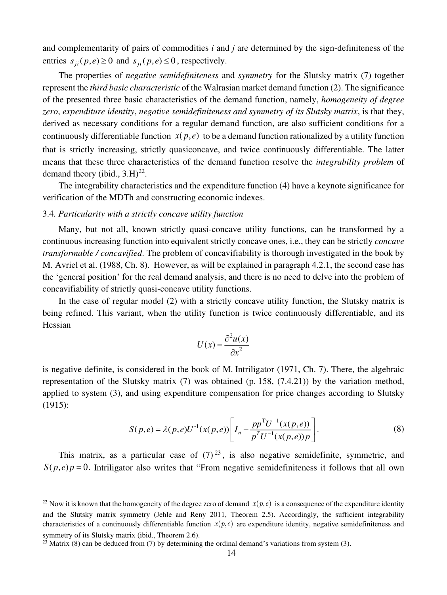and complementarity of pairs of commodities *i* and *j* are determined by the sign-definiteness of the entries  $s_{ii}$   $(p, e) \ge 0$  and  $s_{ii}$   $(p, e) \le 0$ , respectively.

The properties of *negative semidefiniteness* and *symmetry* for the Slutsky matrix (7) together represent the *third basic characteristic* of the Walrasian market demand function (2). The significance of the presented three basic characteristics of the demand function, namely, *homogeneity of degree zero*, *expenditure identity*, *negative semidefiniteness and symmetry of its Slutsky matrix*, is that they, derived as necessary conditions for a regular demand function, are also sufficient conditions for a continuously differentiable function  $x(p,e)$  to be a demand function rationalized by a utility function that is strictly increasing, strictly quasiconcave, and twice continuously differentiable. The latter means that these three characteristics of the demand function resolve the *integrability problem* of demand theory (ibid.,  $3.H$ )<sup>22</sup>.

The integrability characteristics and the expenditure function (4) have a keynote significance for verification of the MDTh and constructing economic indexes.

## 3.4*. Particularity with a strictly concave utility function*

Many, but not all, known strictly quasi-concave utility functions, can be transformed by a continuous increasing function into equivalent strictly concave ones, i.e., they can be strictly *concave transformable / concavified*. The problem of concavifiability is thorough investigated in the book by M. Avriel et al. (1988, Ch. 8). However, as will be explained in paragraph 4.2.1, the second case has the 'general position' for the real demand analysis, and there is no need to delve into the problem of concavifiability of strictly quasi-concave utility functions.

In the case of regular model (2) with a strictly concave utility function, the Slutsky matrix is being refined. This variant, when the utility function is twice continuously differentiable, and its Hessian

$$
U(x) = \frac{\partial^2 u(x)}{\partial x^2}
$$

is negative definite, is considered in the book of M. Intriligator (1971, Ch. 7). There, the algebraic representation of the Slutsky matrix (7) was obtained (p. 158, (7.4.21)) by the variation method, applied to system (3), and using expenditure compensation for price changes according to Slutsky (1915):

$$
S(p,e) = \lambda(p,e)U^{-1}(x(p,e))\left[I_n - \frac{pp^{T}U^{-1}(x(p,e))}{p^{T}U^{-1}(x(p,e))p}\right].
$$
\n(8)

This matrix, as a particular case of  $(7)^{23}$ , is also negative semidefinite, symmetric, and  $S(p,e)p = 0$ . Intriligator also writes that "From negative semidefiniteness it follows that all own

<sup>&</sup>lt;sup>22</sup> Now it is known that the homogeneity of the degree zero of demand  $x(p,e)$  is a consequence of the expenditure identity and the Slutsky matrix symmetry (Jehle and Reny 2011, Theorem 2.5). Accordingly, the sufficient integrability characteristics of a continuously differentiable function  $x(p,e)$  are expenditure identity, negative semidefiniteness and symmetry of its Slutsky matrix (ibid., Theorem 2.6).

<sup>&</sup>lt;sup>23</sup> Matrix (8) can be deduced from (7) by determining the ordinal demand's variations from system (3).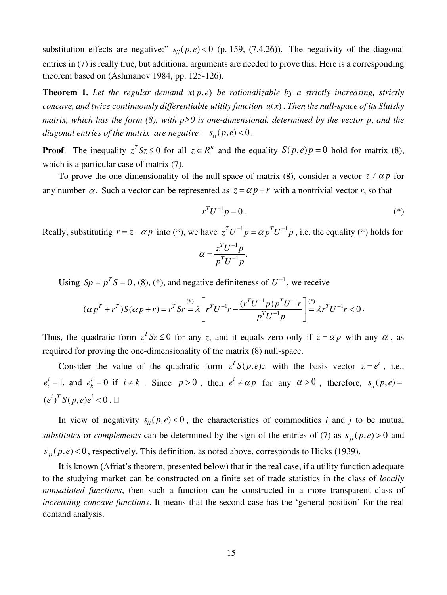substitution effects are negative:"  $s_{ii}(p, e) < 0$  (p. 159, (7.4.26)). The negativity of the diagonal entries in (7) is really true, but additional arguments are needed to prove this. Here is a corresponding theorem based on (Ashmanov 1984, pp. 125-126).

**Theorem 1.** Let the regular demand  $x(p,e)$  be rationalizable by a strictly increasing, strictly *concave, and twice continuously differentiable utility function*  $u(x)$ . Then the null-space of its Slutsky *matrix, which has the form (8), with p>0 is one-dimensional, determined by the vector p*, *and the diagonal entries of the matrix are negative:*  $s_{ii}(p, e) < 0$ .

**Proof**. The inequality  $z^T S z \le 0$  for all  $z \in \mathbb{R}^n$  and the equality  $S(p,e)p = 0$  hold for matrix (8), which is a particular case of matrix  $(7)$ .

To prove the one-dimensionality of the null-space of matrix (8), consider a vector  $z \neq \alpha p$  for any number  $\alpha$ . Such a vector can be represented as  $z = \alpha p + r$  with a nontrivial vector *r*, so that

$$
r^T U^{-1} p = 0.
$$
 (\*)

Really, substituting  $r = z - \alpha p$  into (\*), we have  $z^T U^{-1} p = \alpha p^T U^{-1} p$ , i.e. the equality (\*) holds for

$$
\alpha = \frac{z^T U^{-1} p}{p^T U^{-1} p}.
$$

Using  $Sp = p^T S = 0$ , (8), (\*), and negative definiteness of  $U^{-1}$ , we receive

$$
(\alpha p^T + r^T)S(\alpha p + r) = r^T S r = \lambda \left[ r^T U^{-1} r - \frac{(r^T U^{-1} p) p^T U^{-1} r}{p^T U^{-1} p} \right] \stackrel{(*)}{=} \lambda r^T U^{-1} r < 0.
$$

Thus, the quadratic form  $z^T S z \le 0$  for any *z*, and it equals zero only if  $z = \alpha p$  with any  $\alpha$ , as required for proving the one-dimensionality of the matrix (8) null-space.

Consider the value of the quadratic form  $z^T S(p,e)z$  with the basis vector  $z = e^i$ , i.e.,  $e_i^i = 1$ , and  $e_k^i = 0$  if  $i \neq k$ . Since  $p > 0$ , then  $e^i \neq \alpha p$  for any  $\alpha > 0$ , therefore,  $s_{ii}(p, e) =$  $(e^{i})^{T} S(p, e) e^{i} < 0$ .

In view of negativity  $s_{ii}( p, e) < 0$ , the characteristics of commodities *i* and *j* to be mutual *substitutes* or *complements* can be determined by the sign of the entries of (7) as  $s_{ii}(p,e) > 0$  and  $s_{ii}(p, e) < 0$ , respectively. This definition, as noted above, corresponds to Hicks (1939).

It is known (Afriat's theorem, presented below) that in the real case, if a utility function adequate to the studying market can be constructed on a finite set of trade statistics in the class of *locally nonsatiated functions*, then such a function can be constructed in a more transparent class of *increasing concave functions*. It means that the second case has the 'general position' for the real demand analysis.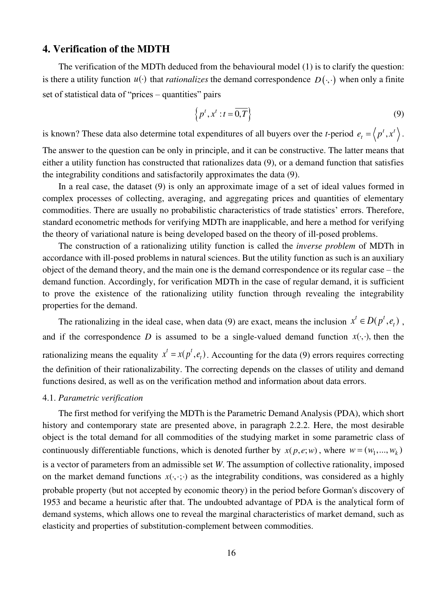## **4. Verification of the MDTH**

The verification of the MDTh deduced from the behavioural model (1) is to clarify the question: is there a utility function  $u(\cdot)$  that *rationalizes* the demand correspondence  $D(\cdot, \cdot)$  when only a finite set of statistical data of "prices – quantities" pairs

$$
\left\{p^t, x^t : t = \overline{0, T}\right\} \tag{9}
$$

is known? These data also determine total expenditures of all buyers over the *t*-period  $e_t = \langle p^t, x^t \rangle$ .

The answer to the question can be only in principle, and it can be constructive. The latter means that either a utility function has constructed that rationalizes data (9), or a demand function that satisfies the integrability conditions and satisfactorily approximates the data (9).

In a real case, the dataset (9) is only an approximate image of a set of ideal values formed in complex processes of collecting, averaging, and aggregating prices and quantities of elementary commodities. There are usually no probabilistic characteristics of trade statistics' errors. Therefore, standard econometric methods for verifying MDTh are inapplicable, and here a method for verifying the theory of variational nature is being developed based on the theory of ill-posed problems.

The construction of a rationalizing utility function is called the *inverse problem* of MDTh in accordance with ill-posed problems in natural sciences. But the utility function as such is an auxiliary object of the demand theory, and the main one is the demand correspondence or its regular case – the demand function. Accordingly, for verification MDTh in the case of regular demand, it is sufficient to prove the existence of the rationalizing utility function through revealing the integrability properties for the demand.

The rationalizing in the ideal case, when data (9) are exact, means the inclusion  $x^t \in D(p^t, e_t)$ , and if the correspondence *D* is assumed to be a single-valued demand function  $x(\cdot, \cdot)$ , then the rationalizing means the equality  $x^t = x(p^t, e_t)$ . Accounting for the data (9) errors requires correcting the definition of their rationalizability. The correcting depends on the classes of utility and demand functions desired, as well as on the verification method and information about data errors.

#### 4.1. *Parametric verification*

The first method for verifying the MDTh is the Parametric Demand Analysis (PDA), which short history and contemporary state are presented above, in paragraph 2.2.2. Here, the most desirable object is the total demand for all commodities of the studying market in some parametric class of continuously differentiable functions, which is denoted further by  $x(p,e;w)$ , where  $w = (w_1, ..., w_k)$ is a vector of parameters from an admissible set *W*. The assumption of collective rationality, imposed on the market demand functions  $x(\cdot, \cdot; \cdot)$  as the integrability conditions, was considered as a highly probable property (but not accepted by economic theory) in the period before Gorman's discovery of 1953 and became a heuristic after that. The undoubted advantage of PDA is the analytical form of demand systems, which allows one to reveal the marginal characteristics of market demand, such as elasticity and properties of substitution-complement between commodities.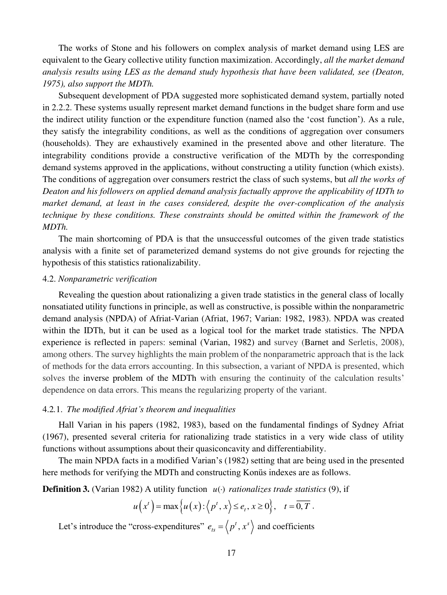The works of Stone and his followers on complex analysis of market demand using LES are equivalent to the Geary collective utility function maximization. Accordingly, *all the market demand analysis results using LES as the demand study hypothesis that have been validated, see (Deaton, 1975), also support the MDTh.* 

Subsequent development of PDA suggested more sophisticated demand system, partially noted in 2.2.2. These systems usually represent market demand functions in the budget share form and use the indirect utility function or the expenditure function (named also the 'cost function'). As a rule, they satisfy the integrability conditions, as well as the conditions of aggregation over consumers (households). They are exhaustively examined in the presented above and other literature. The integrability conditions provide a constructive verification of the MDTh by the corresponding demand systems approved in the applications, without constructing a utility function (which exists). The conditions of aggregation over consumers restrict the class of such systems, but *all the works of Deaton and his followers on applied demand analysis factually approve the applicability of IDTh to market demand, at least in the cases considered, despite the over-complication of the analysis technique by these conditions. These constraints should be omitted within the framework of the MDTh.* 

The main shortcoming of PDA is that the unsuccessful outcomes of the given trade statistics analysis with a finite set of parameterized demand systems do not give grounds for rejecting the hypothesis of this statistics rationalizability.

## 4.2. *Nonparametric verification*

Revealing the question about rationalizing a given trade statistics in the general class of locally nonsatiated utility functions in principle, as well as constructive, is possible within the nonparametric demand analysis (NPDA) of Afriat-Varian (Afriat, 1967; Varian: 1982, 1983). NPDA was created within the IDTh, but it can be used as a logical tool for the market trade statistics. The NPDA experience is reflected in papers: seminal (Varian, 1982) and survey (Barnet and Serletis, 2008), among others. The survey highlights the main problem of the nonparametric approach that is the lack of methods for the data errors accounting. In this subsection, a variant of NPDA is presented, which solves the inverse problem of the MDTh with ensuring the continuity of the calculation results' dependence on data errors. This means the regularizing property of the variant.

## 4.2*.*1. *The modified Afriat's theorem and inequalities*

Hall Varian in his papers (1982, 1983), based on the fundamental findings of Sydney Afriat (1967), presented several criteria for rationalizing trade statistics in a very wide class of utility functions without assumptions about their quasiconcavity and differentiability.

The main NPDA facts in a modified Varian's (1982) setting that are being used in the presented here methods for verifying the MDTh and constructing Konüs indexes are as follows.

**Definition 3.** (Varian 1982) A utility function  $u(\cdot)$  *rationalizes trade statistics* (9), if

$$
u(x^{t}) = \max\left\{u(x): \left\langle p^{t}, x\right\rangle \leq e_{t}, x \geq 0\right\}, \quad t = \overline{0, T}.
$$

Let's introduce the "cross-expenditures"  $e_{ts} = \langle p^t, x^s \rangle$  and coefficients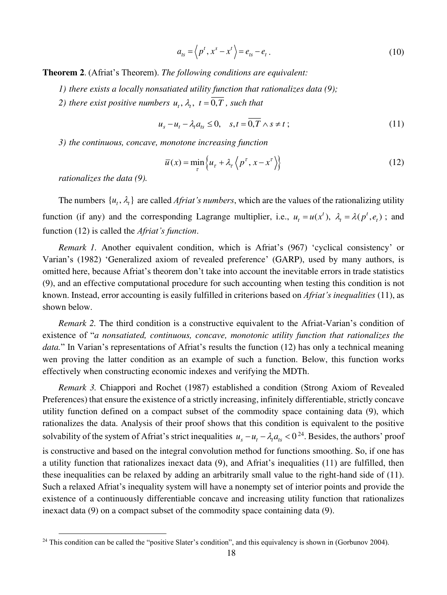$$
a_{ts} = \left\langle p^t, x^s - x^t \right\rangle = e_{ts} - e_t. \tag{10}
$$

**Theorem 2**. (Afriat's Theorem). *The following conditions are equivalent:* 

- *1) there exists a locally nonsatiated utility function that rationalizes data (9);*
- *2) there exist positive numbers*  $u_t$ ,  $\lambda_t$ ,  $t = \overline{0, T}$ , *such that*

$$
u_s - u_t - \lambda_t a_{ts} \le 0, \quad s, t = 0, T \wedge s \ne t \tag{11}
$$

*3) the continuous, concave, monotone increasing function* 

$$
\overline{u}(x) = \min_{\tau} \left\{ u_{\tau} + \lambda_{\tau} \left\langle p^{\tau}, x - x^{\tau} \right\rangle \right\}
$$
\n(12)

*rationalizes the data (9).* 

The numbers  $\{u_t, \lambda_t\}$  are called *Afriat's numbers*, which are the values of the rationalizing utility function (if any) and the corresponding Lagrange multiplier, i.e.,  $u_t = u(x^t)$ ,  $\lambda_t = \lambda(p^t, e_t)$ ; and function (12) is called the *Afriat's function*.

*Remark 1.* Another equivalent condition, which is Afriat's (967) 'cyclical consistency' or Varian's (1982) 'Generalized axiom of revealed preference' (GARP), used by many authors, is omitted here, because Afriat's theorem don't take into account the inevitable errors in trade statistics (9), and an effective computational procedure for such accounting when testing this condition is not known. Instead, error accounting is easily fulfilled in criterions based on *Afriat's inequalities* (11), as shown below.

*Remark 2.* The third condition is a constructive equivalent to the Afriat-Varian's condition of existence of "*a nonsatiated, continuous, concave, monotonic utility function that rationalizes the data.*" In Varian's representations of Afriat's results the function (12) has only a technical meaning wen proving the latter condition as an example of such a function. Below, this function works effectively when constructing economic indexes and verifying the MDTh.

*Remark 3.* Chiappori and Rochet (1987) established a condition (Strong Axiom of Revealed Preferences) that ensure the existence of a strictly increasing, infinitely differentiable, strictly concave utility function defined on a compact subset of the commodity space containing data (9), which rationalizes the data. Analysis of their proof shows that this condition is equivalent to the positive solvability of the system of Afriat's strict inequalities  $u_s - u_t - \lambda_t a_{ts} < 0^{24}$ . Besides, the authors' proof is constructive and based on the integral convolution method for functions smoothing. So, if one has a utility function that rationalizes inexact data (9), and Afriat's inequalities (11) are fulfilled, then these inequalities can be relaxed by adding an arbitrarily small value to the right-hand side of (11). Such a relaxed Afriat's inequality system will have a nonempty set of interior points and provide the existence of a continuously differentiable concave and increasing utility function that rationalizes inexact data (9) on a compact subset of the commodity space containing data (9).

 $24$  This condition can be called the "positive Slater's condition", and this equivalency is shown in (Gorbunov 2004).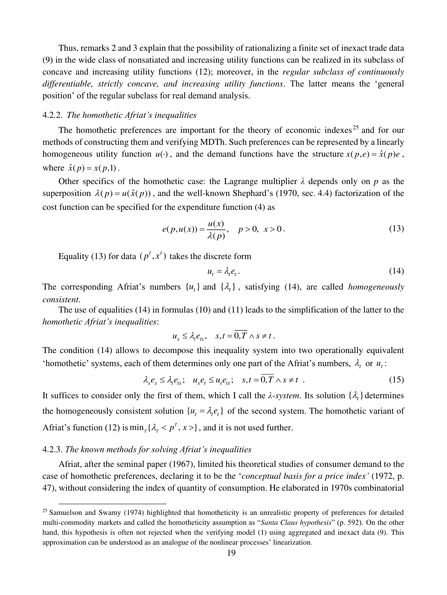Thus, remarks 2 and 3 explain that the possibility of rationalizing a finite set of inexact trade data (9) in the wide class of nonsatiated and increasing utility functions can be realized in its subclass of concave and increasing utility functions (12); moreover, in the *regular subclass of continuously differentiable, strictly concave, and increasing utility functions*. The latter means the 'general position' of the regular subclass for real demand analysis.

#### 4.2*.*2. *The homothetic Afriat's inequalities*

The homothetic preferences are important for the theory of economic indexes<sup>25</sup> and for our methods of constructing them and verifying MDTh. Such preferences can be represented by a linearly homogeneous utility function  $u(·)$ , and the demand functions have the structure  $x(p,e) = \hat{x}(p)e$ , where  $\hat{x}(p) = x(p,1)$ .

Other specifics of the homothetic case: the Lagrange multiplier *λ* depends only on *p* as the superposition  $\lambda(p) = u(\hat{x}(p))$ , and the well-known Shephard's (1970, sec. 4.4) factorization of the cost function can be specified for the expenditure function (4) as

$$
e(p, u(x)) = \frac{u(x)}{\lambda(p)}, \quad p > 0, \ x > 0.
$$
 (13)

Equality (13) for data  $(p^t, x^t)$  takes the discrete form

$$
u_t = \lambda_t e_t. \tag{14}
$$

The corresponding Afriat's numbers  $\{u_t\}$  and  $\{\lambda_t\}$ , satisfying (14), are called *homogeneously consistent*.

The use of equalities (14) in formulas (10) and (11) leads to the simplification of the latter to the *homothetic Afriat's inequalities*:

$$
u_s \leq \lambda_t e_{ts}, \quad s, t = \overline{0, T} \wedge s \neq t.
$$

The condition (14) allows to decompose this inequality system into two operationally equivalent 'homothetic' systems, each of them determines only one part of the Afriat's numbers,  $\lambda_t$  or  $u_t$ :

$$
\lambda_s e_s \leq \lambda_t e_{ts}; \quad u_s e_t \leq u_t e_{ts}; \quad s, t = \overline{0, T} \wedge s \neq t \quad . \tag{15}
$$

It suffices to consider only the first of them, which I call the  $\lambda$ -*system*. Its solution  $\{\lambda_t\}$  determines the homogeneously consistent solution  $\{u_t = \lambda_t e_t\}$  of the second system. The homothetic variant of Afriat's function (12) is  $\min_{\tau} {\{\lambda_{\tau} < p^{\tau}, x > \}}$ , and it is not used further.

## 4.2.3. *The known methods for solving Afriat's inequalities*

Afriat, after the seminal paper (1967), limited his theoretical studies of consumer demand to the case of homothetic preferences, declaring it to be the '*conceptual basis for a price index'* (1972, p. 47), without considering the index of quantity of consumption. He elaborated in 1970s combinatorial

 $25$  Samuelson and Swamy (1974) highlighted that homotheticity is an unrealistic property of preferences for detailed multi-commodity markets and called the homotheticity assumption as "*Santa Claus hypothesis*" (p. 592). On the other hand, this hypothesis is often not rejected when the verifying model (1) using aggregated and inexact data (9). This approximation can be understood as an analogue of the nonlinear processes' linearization.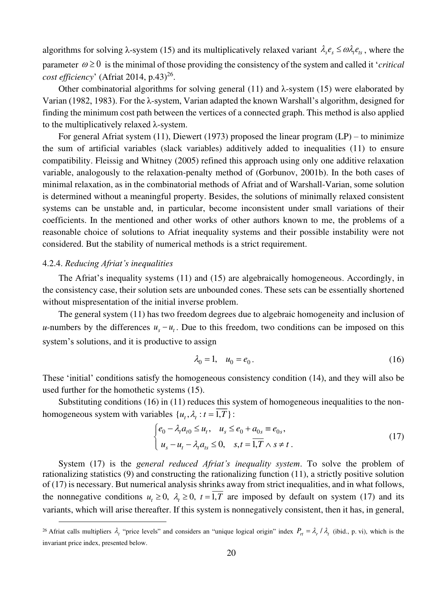algorithms for solving  $\lambda$ -system (15) and its multiplicatively relaxed variant  $\lambda_{s} e_{s} \leq \omega \lambda_{r} e_{is}$ , where the parameter  $\omega \ge 0$  is the minimal of those providing the consistency of the system and called it '*critical cost efficiency*' (Afriat 2014, p.43)<sup>26</sup>.

Other combinatorial algorithms for solving general (11) and  $\lambda$ -system (15) were elaborated by Varian (1982, 1983). For the λ-system, Varian adapted the known Warshall's algorithm, designed for finding the minimum cost path between the vertices of a connected graph. This method is also applied to the multiplicatively relaxed λ-system.

For general Afriat system (11), Diewert (1973) proposed the linear program  $(LP)$  – to minimize the sum of artificial variables (slack variables) additively added to inequalities (11) to ensure compatibility. Fleissig and Whitney (2005) refined this approach using only one additive relaxation variable, analogously to the relaxation-penalty method of (Gorbunov, 2001b). In the both cases of minimal relaxation, as in the combinatorial methods of Afriat and of Warshall-Varian, some solution is determined without a meaningful property. Besides, the solutions of minimally relaxed consistent systems can be unstable and, in particular, become inconsistent under small variations of their coefficients. In the mentioned and other works of other authors known to me, the problems of a reasonable choice of solutions to Afriat inequality systems and their possible instability were not considered. But the stability of numerical methods is a strict requirement.

## 4.2.4. *Reducing Afriat's inequalities*

The Afriat's inequality systems (11) and (15) are algebraically homogeneous. Accordingly, in the consistency case, their solution sets are unbounded cones. These sets can be essentially shortened without mispresentation of the initial inverse problem.

The general system (11) has two freedom degrees due to algebraic homogeneity and inclusion of *u*-numbers by the differences  $u<sub>s</sub> - u<sub>t</sub>$ . Due to this freedom, two conditions can be imposed on this system's solutions, and it is productive to assign

$$
\lambda_0 = 1, \quad u_0 = e_0. \tag{16}
$$

These 'initial' conditions satisfy the homogeneous consistency condition (14), and they will also be used further for the homothetic systems (15).

Substituting conditions (16) in (11) reduces this system of homogeneous inequalities to the nonhomogeneous system with variables  $\{u_t, \lambda_t : t = \overline{1,T}\}$ :

$$
\begin{cases} e_0 - \lambda_t a_{t0} \le u_t, & u_s \le e_0 + a_{0s} \equiv e_{0s}, \\ u_s - u_t - \lambda_t a_{ts} \le 0, & s, t = \overline{1, T} \wedge s \ne t. \end{cases}
$$
 (17)

System (17) is the *general reduced Afriat's inequality system*. To solve the problem of rationalizing statistics (9) and constructing the rationalizing function (11), a strictly positive solution of (17) is necessary. But numerical analysis shrinks away from strict inequalities, and in what follows, the nonnegative conditions  $u_t \ge 0$ ,  $\lambda_t \ge 0$ ,  $t = \overline{1,T}$  are imposed by default on system (17) and its variants, which will arise thereafter. If this system is nonnegatively consistent, then it has, in general,

<sup>&</sup>lt;sup>26</sup> Afriat calls multipliers  $\lambda_t$  "price levels" and considers an "unique logical origin" index  $P_{rt} = \lambda_r / \lambda_t$  (ibid., p. vi), which is the invariant price index, presented below.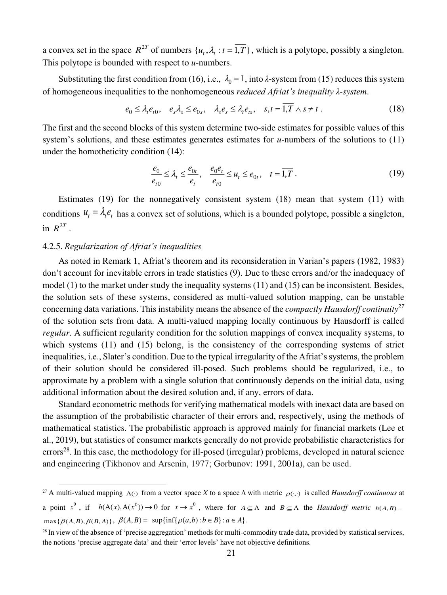a convex set in the space  $R^{2T}$  of numbers  $\{u_t, \lambda_t : t = 1, T\}$ , which is a polytope, possibly a singleton. This polytope is bounded with respect to *u*-numbers.

Substituting the first condition from (16), i.e.,  $\lambda_0 = 1$ , into  $\lambda$ -system from (15) reduces this system of homogeneous inequalities to the nonhomogeneous *reduced Afriat's inequality λ*-*system*.

$$
e_0 \leq \lambda_t e_{t0}, \quad e_s \lambda_s \leq e_{0s}, \quad \lambda_s e_s \leq \lambda_t e_{ts}, \quad s, t = \overline{1, T} \wedge s \neq t \; . \tag{18}
$$

The first and the second blocks of this system determine two-side estimates for possible values of this system's solutions, and these estimates generates estimates for *u*-numbers of the solutions to (11) under the homotheticity condition (14):

$$
\frac{e_0}{e_{t0}} \le \lambda_t \le \frac{e_{0t}}{e_t}, \quad \frac{e_0 e_t}{e_{t0}} \le u_t \le e_{0t}, \quad t = \overline{1, T} \,. \tag{19}
$$

Estimates (19) for the nonnegatively consistent system (18) mean that system (11) with conditions  $u_t = \lambda_t e_t$  has a convex set of solutions, which is a bounded polytope, possible a singleton, in  $R^{2T}$ .

## 4.2.5. *Regularization of Afriat's inequalities*

As noted in Remark 1, Afriat's theorem and its reconsideration in Varian's papers (1982, 1983) don't account for inevitable errors in trade statistics (9). Due to these errors and/or the inadequacy of model (1) to the market under study the inequality systems (11) and (15) can be inconsistent. Besides, the solution sets of these systems, considered as multi-valued solution mapping, can be unstable concerning data variations. This instability means the absence of the *compactly Hausdorff continuity<sup>27</sup>* of the solution sets from data. A multi-valued mapping locally continuous by Hausdorff is called *regular*. A sufficient regularity condition for the solution mappings of convex inequality systems, to which systems (11) and (15) belong, is the consistency of the corresponding systems of strict inequalities, i.e., Slater's condition. Due to the typical irregularity of the Afriat's systems, the problem of their solution should be considered ill-posed. Such problems should be regularized, i.e., to approximate by a problem with a single solution that continuously depends on the initial data, using additional information about the desired solution and, if any, errors of data.

Standard econometric methods for verifying mathematical models with inexact data are based on the assumption of the probabilistic character of their errors and, respectively, using the methods of mathematical statistics. The probabilistic approach is approved mainly for financial markets (Lee et al., 2019), but statistics of consumer markets generally do not provide probabilistic characteristics for  $\arccos^{28}$ . In this case, the methodology for ill-posed (irregular) problems, developed in natural science and engineering (Tikhonov and Arsenin, 1977; Gorbunov: 1991, 2001a), can be used.

<sup>&</sup>lt;sup>27</sup> A multi-valued mapping  $A(\cdot)$  from a vector space *X* to a space  $\Lambda$  with metric  $\rho(\cdot, \cdot)$  is called *Hausdorff continuous* at

a point  $x^0$ , if  $h(A(x),A(x^0))\to 0$  for  $x\to x^0$ , where for  $A\subseteq \Lambda$  and  $B\subseteq \Lambda$  the *Hausdorff metric*  $h(A,B)$  $\max\{\beta(A,B), \beta(B,A)\}, \ \beta(A,B) = \sup\{\inf\{\rho(a,b):b\in B\}:a\in A\}.$ 

<sup>&</sup>lt;sup>28</sup> In view of the absence of 'precise aggregation' methods for multi-commodity trade data, provided by statistical services, the notions 'precise aggregate data' and their 'error levels' have not objective definitions.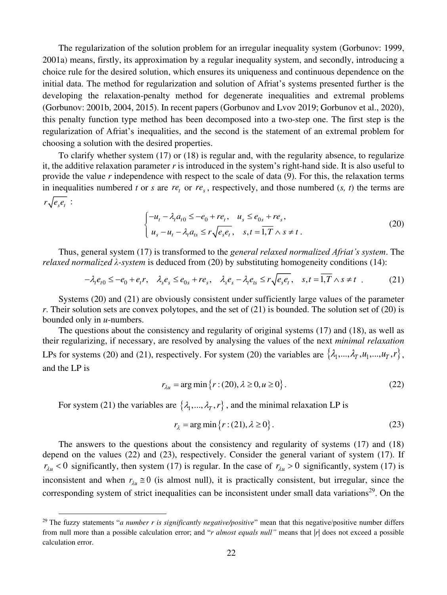The regularization of the solution problem for an irregular inequality system (Gorbunov: 1999, 2001a) means, firstly, its approximation by a regular inequality system, and secondly, introducing a choice rule for the desired solution, which ensures its uniqueness and continuous dependence on the initial data. The method for regularization and solution of Afriat's systems presented further is the developing the relaxation-penalty method for degenerate inequalities and extremal problems (Gorbunov: 2001b, 2004, 2015). In recent papers (Gorbunov and Lvov 2019; Gorbunov et al., 2020), this penalty function type method has been decomposed into a two-step one. The first step is the regularization of Afriat's inequalities, and the second is the statement of an extremal problem for choosing a solution with the desired properties.

To clarify whether system (17) or (18) is regular and, with the regularity absence, to regularize it, the additive relaxation parameter  $r$  is introduced in the system's right-hand side. It is also useful to provide the value *r* independence with respect to the scale of data (9). For this, the relaxation terms in inequalities numbered *t* or *s* are  $re_t$  or  $re_s$ , respectively, and those numbered  $(s, t)$  the terms are  $r\sqrt{e_{s}e_{t}}$ :

$$
\begin{cases}\n-u_t - \lambda_t a_{t0} \le -e_0 + r e_t, & u_s \le e_{0s} + r e_s, \\
u_s - u_t - \lambda_t a_{ts} \le r \sqrt{e_s e_t}, & s,t = \overline{1, T} \wedge s \ne t.\n\end{cases}
$$
\n(20)

Thus, general system (17) is transformed to the *general relaxed normalized Afriat's system*. The *relaxed normalized λ-system* is deduced from (20) by substituting homogeneity conditions (14):

$$
-\lambda_t e_{t0} \le -e_0 + e_t r, \quad \lambda_s e_s \le e_{0s} + r e_s, \quad \lambda_s e_s - \lambda_t e_{ts} \le r \sqrt{e_s e_t}, \quad s, t = \overline{1, T} \wedge s \ne t \tag{21}
$$

Systems (20) and (21) are obviously consistent under sufficiently large values of the parameter *r*. Their solution sets are convex polytopes, and the set of (21) is bounded. The solution set of (20) is bounded only in *u*-numbers.

The questions about the consistency and regularity of original systems (17) and (18), as well as their regularizing, if necessary, are resolved by analysing the values of the next *minimal relaxation*  LPs for systems (20) and (21), respectively. For system (20) the variables are  $\{\lambda_1, ..., \lambda_T, u_1, ..., u_T, r\}$ , and the LP is

$$
r_{\lambda u} = \arg\min \{ r : (20), \lambda \ge 0, u \ge 0 \}.
$$
 (22)

For system (21) the variables are  $\{\lambda_1, ..., \lambda_T, r\}$ , and the minimal relaxation LP is

$$
r_{\lambda} = \arg\min\left\{r : (21), \lambda \ge 0\right\}.
$$
\n<sup>(23)</sup>

The answers to the questions about the consistency and regularity of systems (17) and (18) depend on the values (22) and (23), respectively. Consider the general variant of system (17). If  $r_{\lambda u}$  < 0 significantly, then system (17) is regular. In the case of  $r_{\lambda u} > 0$  significantly, system (17) is inconsistent and when  $r_{\lambda u} \approx 0$  (is almost null), it is practically consistent, but irregular, since the corresponding system of strict inequalities can be inconsistent under small data variations<sup>29</sup>. On the

<sup>&</sup>lt;sup>29</sup> The fuzzy statements "*a number r is significantly negative/positive*" mean that this negative/positive number differs from null more than a possible calculation error; and "*r almost equals null"* means that |*r*| does not exceed a possible calculation error.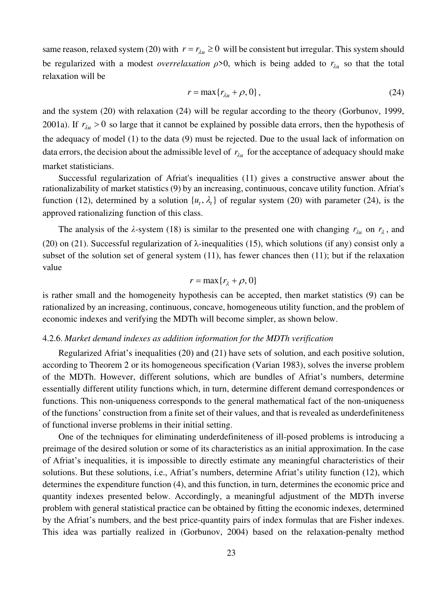same reason, relaxed system (20) with  $r = r_{\lambda u} \ge 0$  will be consistent but irregular. This system should be regularized with a modest *overrelaxation*  $\rho > 0$ , which is being added to  $r_{\lambda u}$  so that the total relaxation will be

$$
r = \max\{r_{\lambda u} + \rho, 0\},\tag{24}
$$

and the system (20) with relaxation (24) will be regular according to the theory (Gorbunov, 1999, 2001a). If  $r_{\lambda u} > 0$  so large that it cannot be explained by possible data errors, then the hypothesis of the adequacy of model (1) to the data (9) must be rejected. Due to the usual lack of information on data errors, the decision about the admissible level of  $r_{\lambda u}$  for the acceptance of adequacy should make market statisticians.

Successful regularization of Afriat's inequalities (11) gives a constructive answer about the rationalizability of market statistics (9) by an increasing, continuous, concave utility function. Afriat's function (12), determined by a solution  $\{u_t, \lambda_t\}$  of regular system (20) with parameter (24), is the approved rationalizing function of this class.

The analysis of the  $\lambda$ -system (18) is similar to the presented one with changing  $r_{\lambda u}$  on  $r_{\lambda}$ , and (20) on (21). Successful regularization of  $\lambda$ -inequalities (15), which solutions (if any) consist only a subset of the solution set of general system (11), has fewer chances then (11); but if the relaxation value

$$
r = \max\{r_{\lambda} + \rho, 0\}
$$

is rather small and the homogeneity hypothesis can be accepted, then market statistics (9) can be rationalized by an increasing, continuous, concave, homogeneous utility function, and the problem of economic indexes and verifying the MDTh will become simpler, as shown below.

## 4.2.6. *Market demand indexes as addition information for the MDTh verification*

Regularized Afriat's inequalities (20) and (21) have sets of solution, and each positive solution, according to Theorem 2 or its homogeneous specification (Varian 1983), solves the inverse problem of the MDTh. However, different solutions, which are bundles of Afriat's numbers, determine essentially different utility functions which, in turn, determine different demand correspondences or functions. This non-uniqueness corresponds to the general mathematical fact of the non-uniqueness of the functions' construction from a finite set of their values, and that is revealed as underdefiniteness of functional inverse problems in their initial setting.

One of the techniques for eliminating underdefiniteness of ill-posed problems is introducing a preimage of the desired solution or some of its characteristics as an initial approximation. In the case of Afriat's inequalities, it is impossible to directly estimate any meaningful characteristics of their solutions. But these solutions, i.e., Afriat's numbers, determine Afriat's utility function (12), which determines the expenditure function (4), and this function, in turn, determines the economic price and quantity indexes presented below. Accordingly, a meaningful adjustment of the MDTh inverse problem with general statistical practice can be obtained by fitting the economic indexes, determined by the Afriat's numbers, and the best price-quantity pairs of index formulas that are Fisher indexes. This idea was partially realized in (Gorbunov, 2004) based on the relaxation-penalty method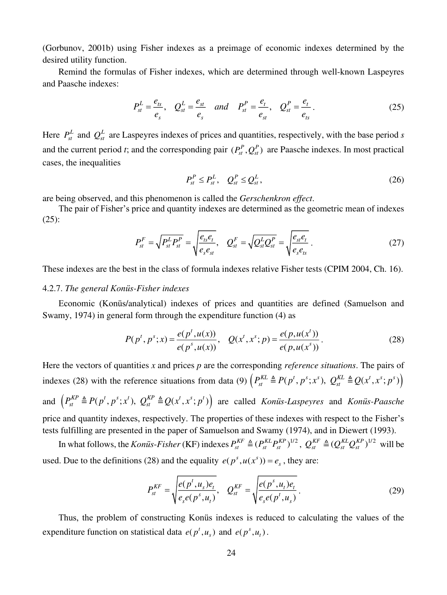(Gorbunov, 2001b) using Fisher indexes as a preimage of economic indexes determined by the desired utility function.

Remind the formulas of Fisher indexes, which are determined through well-known Laspeyres and Paasche indexes:

$$
P_{st}^L = \frac{e_{ts}}{e_s}, \quad Q_{st}^L = \frac{e_{st}}{e_s} \quad and \quad P_{st}^P = \frac{e_t}{e_{st}}, \quad Q_{st}^P = \frac{e_t}{e_{ts}}.
$$
 (25)

Here  $P_{st}^L$  and  $Q_{st}^L$  are Laspeyres indexes of prices and quantities, respectively, with the base period *s* and the current period *t*; and the corresponding pair  $(P_{st}^P, Q_{st}^P)$  are Paasche indexes. In most practical cases, the inequalities

$$
P_{st}^P \le P_{st}^L, \quad Q_{st}^P \le Q_{st}^L, \tag{26}
$$

are being observed, and this phenomenon is called the *Gerschenkron effect*.

The pair of Fisher's price and quantity indexes are determined as the geometric mean of indexes (25):

$$
P_{st}^{F} = \sqrt{P_{st}^{L} P_{st}^{P}} = \sqrt{\frac{e_{ts} e_{t}}{e_{s} e_{st}}}, \quad Q_{st}^{F} = \sqrt{Q_{st}^{L} Q_{st}^{P}} = \sqrt{\frac{e_{st} e_{t}}{e_{s} e_{ts}}}.
$$
\n(27)

These indexes are the best in the class of formula indexes relative Fisher tests (CPIM 2004, Ch. 16).

## 4.2.7. *The general Konüs-Fisher indexes*

Economic (Konüs/analytical) indexes of prices and quantities are defined (Samuelson and Swamy, 1974) in general form through the expenditure function (4) as

$$
P(p^t, p^s; x) = \frac{e(p^t, u(x))}{e(p^s, u(x))}, \quad Q(x^t, x^s; p) = \frac{e(p, u(x^t))}{e(p, u(x^s))}.
$$
 (28)

Here the vectors of quantities *x* and prices *p* are the corresponding *reference situations*. The pairs of indexes (28) with the reference situations from data (9)  $(P_{st}^{KL} \triangleq P(p^t, p^s; x^s), Q_{st}^{KL} \triangleq Q(x^t, x^s; p^s))$ and  $(P_{st}^{KP} \triangleq P(p^t, p^s; x^t), Q_{st}^{KP} \triangleq Q(x^t, x^s; p^t))$  are called *Konüs-Laspeyres* and *Konüs-Paasche* price and quantity indexes, respectively. The properties of these indexes with respect to the Fisher's tests fulfilling are presented in the paper of Samuelson and Swamy (1974), and in Diewert (1993).

In what follows, the *Konüs-Fisher* (KF) indexes  $P_{st}^{KF} \triangleq (P_{st}^{KL}P_{st}^{KP})^{1/2}$ ,  $Q_{st}^{KF} \triangleq (Q_{st}^{KL}Q_{st}^{KP})^{1/2}$  will be used. Due to the definitions (28) and the equality  $e(p^s, u(x^s)) = e_s$ , they are:

$$
P_{st}^{KF} = \sqrt{\frac{e(p^t, u_s)e_t}{e_s e(p^s, u_t)}}, \quad Q_{st}^{KF} = \sqrt{\frac{e(p^s, u_t)e_t}{e_s e(p^t, u_s)}}.
$$
(29)

Thus, the problem of constructing Konüs indexes is reduced to calculating the values of the expenditure function on statistical data  $e(p^t, u_s)$  and  $e(p^s, u_t)$ .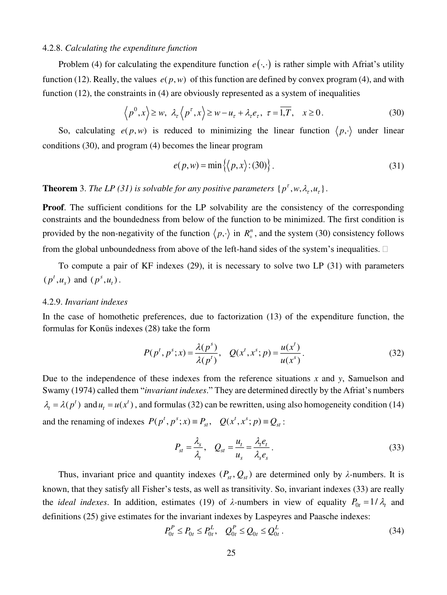## 4.2.8. *Calculating the expenditure function*

Problem (4) for calculating the expenditure function  $e(\cdot, \cdot)$  is rather simple with Afriat's utility function (12). Really, the values  $e(p, w)$  of this function are defined by convex program (4), and with function (12), the constraints in (4) are obviously represented as a system of inequalities

$$
\left\langle p^{0}, x \right\rangle \geq w, \ \lambda_{\tau} \left\langle p^{\tau}, x \right\rangle \geq w - u_{\tau} + \lambda_{\tau} e_{\tau}, \ \tau = \overline{1, T}, \quad x \geq 0. \tag{30}
$$

So, calculating  $e(p, w)$  is reduced to minimizing the linear function  $\langle p, \cdot \rangle$  under linear conditions (30), and program (4) becomes the linear program

$$
e(p, w) = \min\{ \langle p, x \rangle : (30) \}.
$$
 (31)

**Theorem** 3. *The LP* (31) is solvable for any positive parameters  $\{p^{\tau}, w, \lambda_{\tau}, u_{\tau}\}\$ .

**Proof.** The sufficient conditions for the LP solvability are the consistency of the corresponding constraints and the boundedness from below of the function to be minimized. The first condition is provided by the non-negativity of the function  $\langle p, \cdot \rangle$  in  $R_+^n$ , and the system (30) consistency follows from the global unboundedness from above of the left-hand sides of the system's inequalities.  $\Box$ 

To compute a pair of KF indexes (29), it is necessary to solve two LP (31) with parameters  $(p^t, u_s)$  and  $(p^s, u_t)$ .

## 4.2.9. *Invariant indexes*

In the case of homothetic preferences, due to factorization (13) of the expenditure function, the formulas for Konüs indexes (28) take the form

$$
P(p^t, p^s; x) = \frac{\lambda(p^s)}{\lambda(p^t)}, \quad Q(x^t, x^s; p) = \frac{u(x^t)}{u(x^s)}.
$$
 (32)

Due to the independence of these indexes from the reference situations *x* and *y*, Samuelson and Swamy (1974) called them "*invariant indexes*." They are determined directly by the Afriat's numbers  $\lambda_t = \lambda(p^t)$  and  $u_t = u(x^t)$ , and formulas (32) can be rewritten, using also homogeneity condition (14) and the renaming of indexes  $P(p^t, p^s; x) \equiv P_{st}$ ,  $Q(x^t, x^s; p) \equiv Q_{st}$ :

$$
P_{st} = \frac{\lambda_s}{\lambda_t}, \quad Q_{st} = \frac{u_t}{u_s} = \frac{\lambda_t e_t}{\lambda_s e_s}.
$$
\n(33)

Thus, invariant price and quantity indexes  $(P_{st}, Q_{st})$  are determined only by  $\lambda$ -numbers. It is known, that they satisfy all Fisher's tests, as well as transitivity. So, invariant indexes (33) are really the *ideal indexes*. In addition, estimates (19) of  $\lambda$ -numbers in view of equality  $P_{0t} = 1/\lambda_t$  and definitions (25) give estimates for the invariant indexes by Laspeyres and Paasche indexes:

$$
P_{0t}^{P} \le P_{0t} \le P_{0t}^{L}, \quad Q_{0t}^{P} \le Q_{0t} \le Q_{0t}^{L}.
$$
\n(34)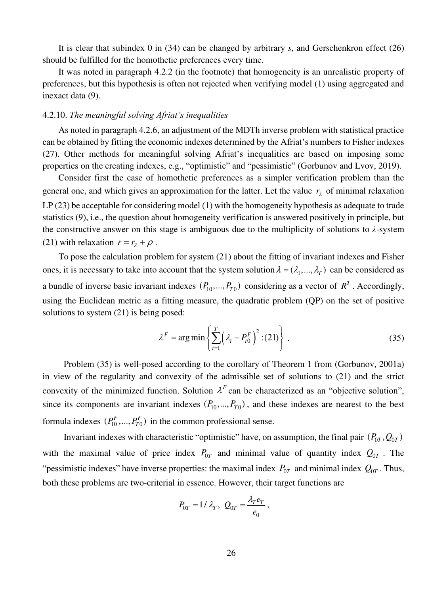It is clear that subindex 0 in (34) can be changed by arbitrary *s*, and Gerschenkron effect (26) should be fulfilled for the homothetic preferences every time.

It was noted in paragraph 4.2.2 (in the footnote) that homogeneity is an unrealistic property of preferences, but this hypothesis is often not rejected when verifying model (1) using aggregated and inexact data (9).

#### 4.2.10. *The meaningful solving Afriat's inequalities*

As noted in paragraph 4.2.6, an adjustment of the MDTh inverse problem with statistical practice can be obtained by fitting the economic indexes determined by the Afriat's numbers to Fisher indexes (27). Other methods for meaningful solving Afriat's inequalities are based on imposing some properties on the creating indexes, e.g., "optimistic" and "pessimistic" (Gorbunov and Lvov, 2019).

Consider first the case of homothetic preferences as a simpler verification problem than the general one, and which gives an approximation for the latter. Let the value  $r_{\lambda}$  of minimal relaxation LP (23) be acceptable for considering model (1) with the homogeneity hypothesis as adequate to trade statistics (9), i.e., the question about homogeneity verification is answered positively in principle, but the constructive answer on this stage is ambiguous due to the multiplicity of solutions to  $\lambda$ -system (21) with relaxation  $r = r_{\lambda} + \rho$ .

To pose the calculation problem for system (21) about the fitting of invariant indexes and Fisher ones, it is necessary to take into account that the system solution  $\lambda = (\lambda_1, ..., \lambda_T)$  can be considered as a bundle of inverse basic invariant indexes  $(P_{10},..., P_{T0})$  considering as a vector of  $R^T$ . Accordingly, using the Euclidean metric as a fitting measure, the quadratic problem (QP) on the set of positive solutions to system (21) is being posed:

$$
\lambda^{F} = \arg\min\left\{\sum_{t=1}^{T} \left(\lambda_{t} - P_{t0}^{F}\right)^{2} : (21)\right\} \tag{35}
$$

Problem (35) is well-posed according to the corollary of Theorem 1 from (Gorbunov, 2001a) in view of the regularity and convexity of the admissible set of solutions to (21) and the strict convexity of the minimized function. Solution  $\lambda^F$  can be characterized as an "objective solution", since its components are invariant indexes  $(P_{10},..., P_{T0})$ , and these indexes are nearest to the best formula indexes  $(P_1^F, ..., P_{T0}^F)$  in the common professional sense.

Invariant indexes with characteristic "optimistic" have, on assumption, the final pair  $(P_{0T}, Q_{0T})$ with the maximal value of price index  $P_{0T}$  and minimal value of quantity index  $Q_{0T}$ . The "pessimistic indexes" have inverse properties: the maximal index  $P_{0T}$  and minimal index  $Q_{0T}$ . Thus, both these problems are two-criterial in essence. However, their target functions are

$$
P_{0T} = 1/\lambda_T, \ Q_{0T} = \frac{\lambda_T e_T}{e_0},
$$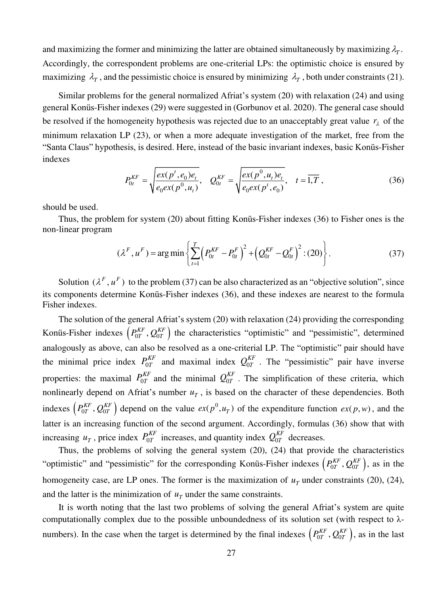and maximizing the former and minimizing the latter are obtained simultaneously by maximizing  $\lambda_T$ . Accordingly, the correspondent problems are one-criterial LPs: the optimistic choice is ensured by maximizing  $\lambda_T$ , and the pessimistic choice is ensured by minimizing  $\lambda_T$ , both under constraints (21).

Similar problems for the general normalized Afriat's system (20) with relaxation (24) and using general Konüs-Fisher indexes (29) were suggested in (Gorbunov et al. 2020). The general case should be resolved if the homogeneity hypothesis was rejected due to an unacceptably great value  $r_{\lambda}$  of the minimum relaxation LP (23), or when a more adequate investigation of the market, free from the "Santa Claus" hypothesis, is desired. Here, instead of the basic invariant indexes, basic Konüs-Fisher indexes

$$
P_{0t}^{KF} = \sqrt{\frac{ex(p^t, e_0)e_t}{e_0ex(p^0, u_t)}}, \quad Q_{0t}^{KF} = \sqrt{\frac{ex(p^0, u_t)e_t}{e_0ex(p^t, e_0)}}, \quad t = \overline{1, T}, \tag{36}
$$

should be used.

Thus, the problem for system (20) about fitting Konüs-Fisher indexes (36) to Fisher ones is the non-linear program

$$
(\lambda^{F}, u^{F}) = \arg\min\left\{\sum_{t=1}^{T} \left(P_{0t}^{KF} - P_{0t}^{F}\right)^{2} + \left(Q_{0t}^{KF} - Q_{0t}^{F}\right)^{2} : (20)\right\}.
$$
 (37)

Solution  $(\lambda^F, u^F)$  to the problem (37) can be also characterized as an "objective solution", since its components determine Konüs-Fisher indexes (36), and these indexes are nearest to the formula Fisher indexes.

The solution of the general Afriat's system (20) with relaxation (24) providing the corresponding Konüs-Fisher indexes  $(P_{0T}^{KF}, Q_{0T}^{KF})$  the characteristics "optimistic" and "pessimistic", determined analogously as above, can also be resolved as a one-criterial LP. The "optimistic" pair should have the minimal price index  $P_{0T}^{KF}$  and maximal index  $Q_{0T}^{KF}$ . The "pessimistic" pair have inverse properties: the maximal  $P_{0T}^{KF}$  and the minimal  $Q_{0T}^{KF}$ . The simplification of these criteria, which nonlinearly depend on Afriat's number  $u<sub>T</sub>$ , is based on the character of these dependencies. Both indexes  $(P_{0T}^{KF}, Q_{0T}^{KF})$  depend on the value  $ex(p^{0}, u_T)$  of the expenditure function  $ex(p, w)$ , and the latter is an increasing function of the second argument. Accordingly, formulas (36) show that with increasing  $u_T$ , price index  $P_{0T}^{KF}$  increases, and quantity index  $Q_{0T}^{KF}$  decreases.

Thus, the problems of solving the general system (20), (24) that provide the characteristics "optimistic" and "pessimistic" for the corresponding Konüs-Fisher indexes  $(P_{0T}^{KF}, Q_{0T}^{KF})$ , as in the homogeneity case, are LP ones. The former is the maximization of  $u<sub>T</sub>$  under constraints (20), (24), and the latter is the minimization of  $u<sub>T</sub>$  under the same constraints.

It is worth noting that the last two problems of solving the general Afriat's system are quite computationally complex due to the possible unboundedness of its solution set (with respect to λnumbers). In the case when the target is determined by the final indexes  $(P_{0T}^{KF}, Q_{0T}^{KF})$ , as in the last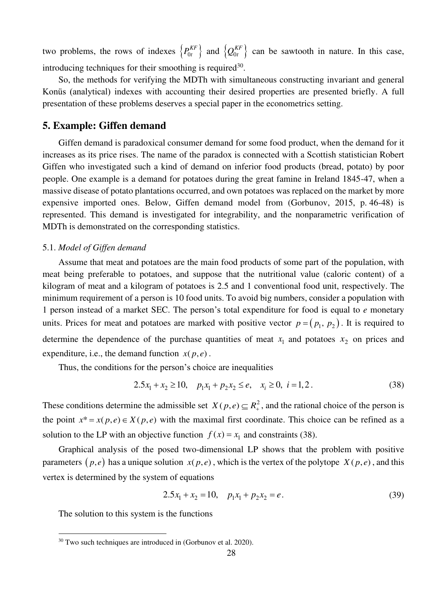two problems, the rows of indexes  $\{P_{0t}^{KF}\}\$  and  $\{Q_{0t}^{KF}\}\$  can be sawtooth in nature. In this case, introducing techniques for their smoothing is required<sup>30</sup>.

So, the methods for verifying the MDTh with simultaneous constructing invariant and general Konüs (analytical) indexes with accounting their desired properties are presented briefly. A full presentation of these problems deserves a special paper in the econometrics setting.

## **5. Example: Giffen demand**

Giffen demand is paradoxical consumer demand for some food product, when the demand for it increases as its price rises. The name of the paradox is connected with a Scottish statistician Robert Giffen who investigated such a kind of demand on inferior food products (bread, potato) by poor people. One example is a demand for potatoes during the great famine in Ireland 1845-47, when a massive disease of potato plantations occurred, and own potatoes was replaced on the market by more expensive imported ones. Below, Giffen demand model from (Gorbunov, 2015, p. 46-48) is represented. This demand is investigated for integrability, and the nonparametric verification of MDTh is demonstrated on the corresponding statistics.

#### 5.1. *Model of Giffen demand*

Assume that meat and potatoes are the main food products of some part of the population, with meat being preferable to potatoes, and suppose that the nutritional value (caloric content) of a kilogram of meat and a kilogram of potatoes is 2.5 and 1 conventional food unit, respectively. The minimum requirement of a person is 10 food units. To avoid big numbers, consider a population with 1 person instead of a market SEC. The person's total expenditure for food is equal to *e* monetary units. Prices for meat and potatoes are marked with positive vector  $p = ( p_1, p_2 )$ . It is required to determine the dependence of the purchase quantities of meat  $x_1$  and potatoes  $x_2$  on prices and expenditure, i.e., the demand function  $x(p, e)$ .

Thus, the conditions for the person's choice are inequalities

$$
2.5x_1 + x_2 \ge 10, \quad p_1x_1 + p_2x_2 \le e, \quad x_i \ge 0, \quad i = 1, 2. \tag{38}
$$

These conditions determine the admissible set  $X(p, e) \subseteq R_+^2$ , and the rational choice of the person is the point  $x^* = x(p, e) \in X(p, e)$  with the maximal first coordinate. This choice can be refined as a solution to the LP with an objective function  $f(x) = x_1$  and constraints (38).

Graphical analysis of the posed two-dimensional LP shows that the problem with positive parameters  $(p,e)$  has a unique solution  $x(p,e)$ , which is the vertex of the polytope  $X(p,e)$ , and this vertex is determined by the system of equations

$$
2.5x_1 + x_2 = 10, \quad p_1x_1 + p_2x_2 = e. \tag{39}
$$

The solution to this system is the functions

<sup>&</sup>lt;sup>30</sup> Two such techniques are introduced in (Gorbunov et al. 2020).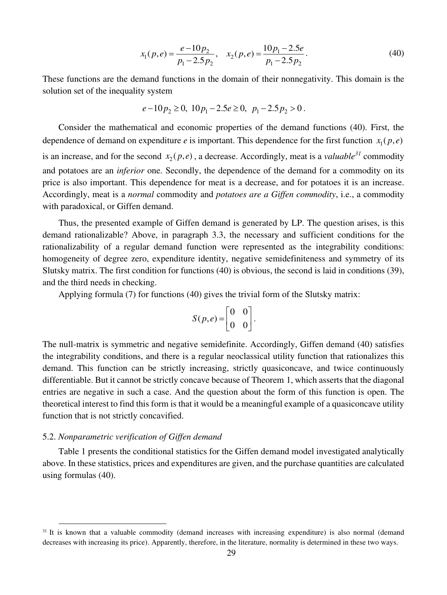$$
x_1(p,e) = \frac{e - 10p_2}{p_1 - 2.5p_2}, \quad x_2(p,e) = \frac{10p_1 - 2.5e}{p_1 - 2.5p_2}.
$$
 (40)

These functions are the demand functions in the domain of their nonnegativity. This domain is the solution set of the inequality system

$$
e-10p_2 \ge 0, 10p_1-2.5e \ge 0, p_1-2.5p_2 > 0.
$$

Consider the mathematical and economic properties of the demand functions (40). First, the dependence of demand on expenditure *e* is important. This dependence for the first function  $x_1(p,e)$ is an increase, and for the second  $x_2(p,e)$ , a decrease. Accordingly, meat is a *valuable*<sup>31</sup> commodity and potatoes are an *inferior* one. Secondly, the dependence of the demand for a commodity on its price is also important. This dependence for meat is a decrease, and for potatoes it is an increase. Accordingly, meat is a *normal* commodity and *potatoes are a Giffen commodity*, i.e., a commodity with paradoxical, or Giffen demand.

Thus, the presented example of Giffen demand is generated by LP. The question arises, is this demand rationalizable? Above, in paragraph 3.3, the necessary and sufficient conditions for the rationalizability of a regular demand function were represented as the integrability conditions: homogeneity of degree zero, expenditure identity, negative semidefiniteness and symmetry of its Slutsky matrix. The first condition for functions (40) is obvious, the second is laid in conditions (39), and the third needs in checking.

Applying formula (7) for functions (40) gives the trivial form of the Slutsky matrix:

$$
S(p,e) = \begin{bmatrix} 0 & 0 \\ 0 & 0 \end{bmatrix}.
$$

The null-matrix is symmetric and negative semidefinite. Accordingly, Giffen demand (40) satisfies the integrability conditions, and there is a regular neoclassical utility function that rationalizes this demand. This function can be strictly increasing, strictly quasiconcave, and twice continuously differentiable. But it cannot be strictly concave because of Theorem 1, which asserts that the diagonal entries are negative in such a case. And the question about the form of this function is open. The theoretical interest to find this form is that it would be a meaningful example of a quasiconcave utility function that is not strictly concavified.

## 5.2. *Nonparametric verification of Giffen demand*

Table 1 presents the conditional statistics for the Giffen demand model investigated analytically above. In these statistics, prices and expenditures are given, and the purchase quantities are calculated using formulas (40).

<sup>&</sup>lt;sup>31</sup> It is known that a valuable commodity (demand increases with increasing expenditure) is also normal (demand decreases with increasing its price). Apparently, therefore, in the literature, normality is determined in these two ways.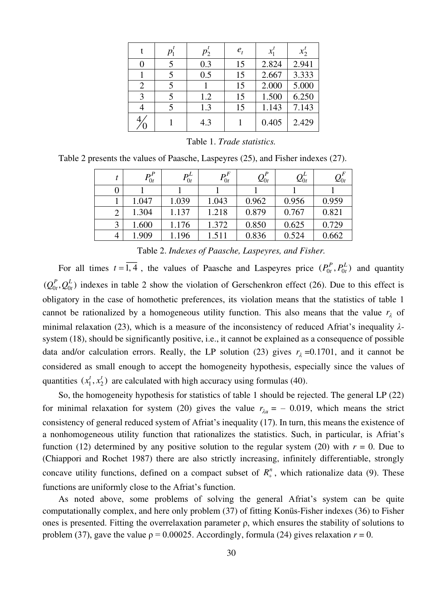|   |   | $p_2^{\prime}$ | $e_t$ | x'    | $x_2'$ |
|---|---|----------------|-------|-------|--------|
|   |   | 0.3            | 15    | 2.824 | 2.941  |
|   | 5 | 0.5            | 15    | 2.667 | 3.333  |
|   |   |                | 15    | 2.000 | 5.000  |
| 3 |   | 1.2            | 15    | 1.500 | 6.250  |
|   |   | 1.3            | 15    | 1.143 | 7.143  |
|   |   | 4.3            |       | 0.405 | 2.429  |

Table 2 presents the values of Paasche, Laspeyres (25), and Fisher indexes (27).

|                | $P^P_{0t}$ | $\mathbf{p}^L$<br>$\left\lceil 0t \right\rceil$ | $P^F_{0t}$ | $\mathcal{Q}^P_{0t}$ | $\mathcal{Q}^{\scriptscriptstyle\! L}_{0t}$ | $\mathcal{Q}^F_{0t}$ |
|----------------|------------|-------------------------------------------------|------------|----------------------|---------------------------------------------|----------------------|
| 0              |            |                                                 |            |                      |                                             |                      |
|                | 1.047      | 1.039                                           | 1.043      | 0.962                | 0.956                                       | 0.959                |
| $\overline{2}$ | 1.304      | 1.137                                           | 1.218      | 0.879                | 0.767                                       | 0.821                |
| 3              | 1.600      | 1.176                                           | 1.372      | 0.850                | 0.625                                       | 0.729                |
| 4              | 1.909      | 1.196                                           | 1.511      | 0.836                | 0.524                                       | 0.662                |

Table 2. *Indexes of Paasche, Laspeyres, and Fisher.*

For all times  $t = 1, 4$ , the values of Paasche and Laspeyres price  $(P_0^P, P_0^L)$  and quantity  $(Q_{0t}^P, Q_{0t}^L)$  indexes in table 2 show the violation of Gerschenkron effect (26). Due to this effect is obligatory in the case of homothetic preferences, its violation means that the statistics of table 1 cannot be rationalized by a homogeneous utility function. This also means that the value  $r_{\lambda}$  of minimal relaxation (23), which is a measure of the inconsistency of reduced Afriat's inequality *λ*system (18), should be significantly positive, i.e., it cannot be explained as a consequence of possible data and/or calculation errors. Really, the LP solution (23) gives  $r_{\lambda} = 0.1701$ , and it cannot be considered as small enough to accept the homogeneity hypothesis, especially since the values of quantities  $(x_1^t, x_2^t)$  are calculated with high accuracy using formulas (40).

So, the homogeneity hypothesis for statistics of table 1 should be rejected. The general LP (22) for minimal relaxation for system (20) gives the value  $r_{\lambda u} = -0.019$ , which means the strict consistency of general reduced system of Afriat's inequality (17). In turn, this means the existence of a nonhomogeneous utility function that rationalizes the statistics. Such, in particular, is Afriat's function (12) determined by any positive solution to the regular system (20) with  $r = 0$ . Due to (Chiappori and Rochet 1987) there are also strictly increasing, infinitely differentiable, strongly concave utility functions, defined on a compact subset of  $R_+^n$ , which rationalize data (9). These functions are uniformly close to the Afriat's function.

As noted above, some problems of solving the general Afriat's system can be quite computationally complex, and here only problem (37) of fitting Konüs-Fisher indexes (36) to Fisher ones is presented. Fitting the overrelaxation parameter  $\rho$ , which ensures the stability of solutions to problem (37), gave the value  $\rho = 0.00025$ . Accordingly, formula (24) gives relaxation  $r = 0$ .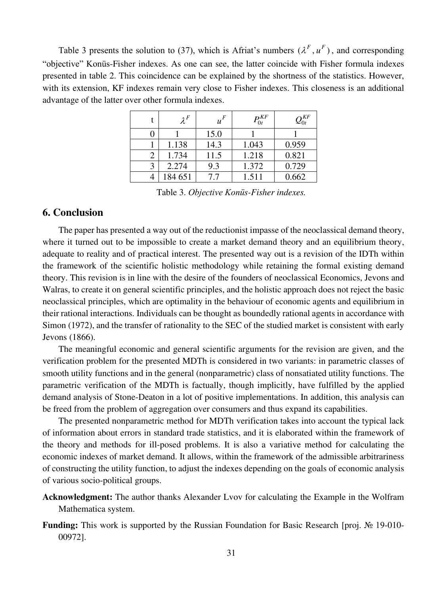Table 3 presents the solution to (37), which is Afriat's numbers  $(\lambda^F, u^F)$ , and corresponding "objective" Konüs-Fisher indexes. As one can see, the latter coincide with Fisher formula indexes presented in table 2. This coincidence can be explained by the shortness of the statistics. However, with its extension, KF indexes remain very close to Fisher indexes. This closeness is an additional advantage of the latter over other formula indexes.

| $\lambda^F$ | $u^F$ | $P^{KF}_{0t}$ | $Q_{0t}^{KF}$ |
|-------------|-------|---------------|---------------|
|             | 15.0  |               |               |
| 1.138       | 14.3  | 1.043         | 0.959         |
| 1.734       | 11.5  | 1.218         | 0.821         |
| 2.274       | 9.3   | 1.372         | 0.729         |
| 184 651     | 7.7   | 1.511         | 0.662         |

Table 3. *Objective Konüs-Fisher indexes.* 

## **6. Conclusion**

The paper has presented a way out of the reductionist impasse of the neoclassical demand theory, where it turned out to be impossible to create a market demand theory and an equilibrium theory, adequate to reality and of practical interest. The presented way out is a revision of the IDTh within the framework of the scientific holistic methodology while retaining the formal existing demand theory. This revision is in line with the desire of the founders of neoclassical Economics, Jevons and Walras, to create it on general scientific principles, and the holistic approach does not reject the basic neoclassical principles, which are optimality in the behaviour of economic agents and equilibrium in their rational interactions. Individuals can be thought as boundedly rational agents in accordance with Simon (1972), and the transfer of rationality to the SEC of the studied market is consistent with early Jevons (1866).

The meaningful economic and general scientific arguments for the revision are given, and the verification problem for the presented MDTh is considered in two variants: in parametric classes of smooth utility functions and in the general (nonparametric) class of nonsatiated utility functions. The parametric verification of the MDTh is factually, though implicitly, have fulfilled by the applied demand analysis of Stone-Deaton in a lot of positive implementations. In addition, this analysis can be freed from the problem of aggregation over consumers and thus expand its capabilities.

The presented nonparametric method for MDTh verification takes into account the typical lack of information about errors in standard trade statistics, and it is elaborated within the framework of the theory and methods for ill-posed problems. It is also a variative method for calculating the economic indexes of market demand. It allows, within the framework of the admissible arbitrariness of constructing the utility function, to adjust the indexes depending on the goals of economic analysis of various socio-political groups.

- **Acknowledgment:** The author thanks Alexander Lvov for calculating the Example in the Wolfram Mathematica system.
- **Funding:** This work is supported by the Russian Foundation for Basic Research [proj. № 19-010- 00972].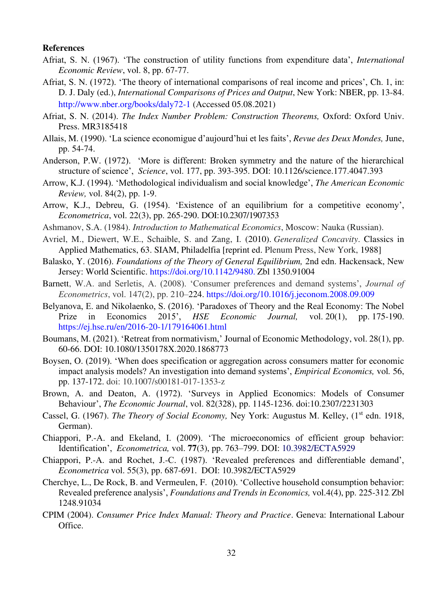#### **References**

- Afriat, S. N. (1967). 'The construction of utility functions from expenditure data', *International Economic Review*, vol. 8, pp. 67-77.
- Afriat, S. N. (1972). 'The theory of international comparisons of real income and prices', Ch. 1, in: D. J. Daly (ed.), *International Comparisons of Prices and Output*, New York: NBER, pp. 13-84. <http://www.nber.org/books/daly72-1>(Accessed 05.08.2021)
- Afriat, S. N. (2014). *The Index Number Problem: Construction Theorems,* Oxford: Oxford Univ. Press. MR3185418
- Allais, M. (1990). 'La science economigue d'aujourd'hui et les faits', *Revue des Deux Mondes,* June, pp. 54-74.
- Anderson, P.W. (1972). 'More is different: Broken symmetry and the nature of the hierarchical structure of science', *Science*, vol. 177, pp. 393-395. DOI: 10.1126/science.177.4047.393
- Arrow, K.J. (1994). 'Methodological individualism and social knowledge', *The American Economic Review,* vol. 84(2), pp. 1-9.
- Arrow, K.J., Debreu, G. (1954). 'Existence of an equilibrium for a competitive economy', *Econometrica*, vol. 22(3), pp. 265-290. DOI:10.2307/1907353
- Ashmanov, S.A. (1984). *Introduction to Mathematical Economics*, Moscow: Nauka (Russian).
- Avriel, M., Diewert, W.E., Schaible, S. and Zang, I. (2010). *Generalized Concavity*. Classics in Applied Mathematics, 63. SIAM, Philadelfia [reprint ed. Plenum Press, New York, 1988]
- Balasko, Y. (2016). *Foundations of the Theory of General Equilibrium,* 2nd edn. Hackensack, New Jersey: World Scientific. [https://doi.org/10.1142/9480.](https://doi.org/10.1142/9480) Zbl 1350.91004
- Barnett, W.A. and Serletis, A. (2008). 'Consumer preferences and demand systems', *Journal of Econometrics*, vol. 147(2), pp. 210–224.<https://doi.org/10.1016/j.jeconom.2008.09.009>
- Belyanova, E. and Nikolaenko, S. (2016). 'Paradoxes of Theory and the Real Economy: The Nobel Prize in Economics 2015', *HSE Economic Journal,* vol. 20(1), pp. 175-190. <https://ej.hse.ru/en/2016-20-1/179164061.html>
- Boumans, M. (2021). '[Retreat from normativism](https://ideas.repec.org/a/taf/jecmet/v28y2021i1p60-66.html),' [Journal of Economic Methodology,](https://ideas.repec.org/s/taf/jecmet.html) vol. 28(1), pp. 60-66. DOI: 10.1080/1350178X.2020.1868773
- Boysen, O. (2019). 'When does specification or aggregation across consumers matter for economic impact analysis models? An investigation into demand systems', *Empirical Economics,* vol*.* 56, pp. 137-172. doi: 10.1007/s00181-017-1353-z
- Brown, A. and Deaton, A. (1972). 'Surveys in Applied Economics: Models of Consumer Behaviour', *The Economic Journal*, vol. 82(328), pp. 1145-1236. doi:10.2307/2231303
- Cassel, G. (1967). *The Theory of Social Economy*, Ney York: Augustus M. Kelley, (1<sup>st</sup> edn. 1918, German).
- Chiappori, P.-A. and Ekeland, I. (2009). 'The microeconomics of efficient group behavior: Identification', *Econometrica,* vol. **77**(3), pp. 763–799. DOI: 10.3982/ECTA5929
- Chiappori, P.-A. and Rochet, J.-C. (1987). 'Revealed preferences and differentiable demand', *Econometrica* vol. 55(3), pp. 687-691. DOI: 10.3982/ECTA5929
- Cherchye, L., De Rock, B. and Vermeulen, F. (2010). 'Collective household consumption behavior: Revealed preference analysis', *Foundations and Trends in Economics,* vol[.4\(4\), pp. 225-312](https://zbmath.org/?q=in%3A00299660). Zbl 1248.91034
- CPIM (2004). *Consumer Price Index Manual: Theory and Practice*. Geneva: International Labour Office.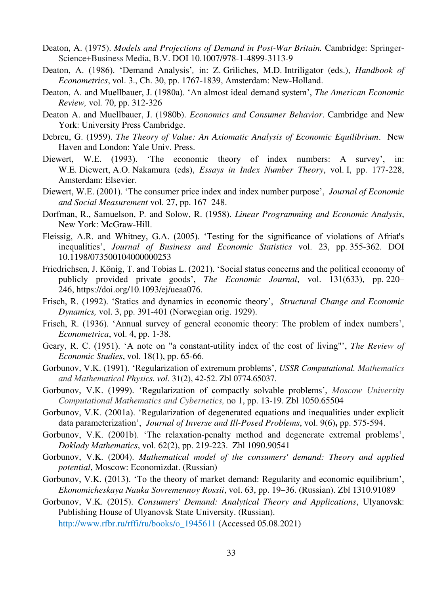- Deaton, A. (1975). *Models and Projections of Demand in Post-War Britain.* Cambridge: Springer-Science+Business Media, B.V. DOI 10.1007/978-1-4899-3113-9
- Deaton, A. (1986). 'Demand Analysis'*,* in: Z. Griliches, M.D. Intriligator (eds.), *Handbook of Econometrics*, vol. 3., Ch. 30, pp. 1767-1839, Amsterdam: New-Holland.
- Deaton, A. and Muellbauer, J. (1980a). 'An almost ideal demand system', *The American Economic Review,* vol*.* 70, pp. 312-326
- Deaton A. and Muellbauer, J. (1980b). *Economics and Consumer Behavior*. Cambridge and New York: University Press Cambridge.
- Debreu, G. (1959). *The Theory of Value: An Axiomatic Analysis of Economic Equilibrium*. New Haven and London: Yale Univ. Press.
- Diewert, W.E. (1993). 'The economic theory of index numbers: A survey', in: W.E. Diewert, A.O. Nakamura (eds), *Essays in Index Number Theory*, vol. I, pp. 177-228, Amsterdam: Elsevier.
- Diewert, W.E. (2001). 'The consumer price index and index number purpose', *Journal of Economic and Social Measurement* vol. 27, pp. 167–248.
- Dorfman, R., Samuelson, P. and Solow, R. (1958). *Linear Programming and Economic Analysis*, New York: McGraw-Hill.
- Fleissig, A.R. and Whitney, G.A. (2005). 'Testing for the significance of violations of Afriat's inequalities', *Journal of Business and Economic Statistics* vol. 23, pp. 355-362. DOI 10.1198/073500104000000253
- Friedrichsen, J. König, T. and Tobias L. (2021). 'Social status concerns and the political economy of publicly provided private goods', *The Economic Journal*, vol. 131(633), pp. 220– 246, [https://doi.org/10.1093/ej/ueaa076.](https://doi.org/10.1093/ej/ueaa076)
- Frisch, R. (1992). 'Statics and dynamics in economic theory', *Structural Change and Economic Dynamics,* vol. 3, pp. 391-401 (Norwegian orig. 1929).
- Frisch, R. (1936). 'Annual survey of general economic theory: The problem of index numbers', *Econometrica*, vol. 4, pp. 1-38.
- Geary, R. C. (1951). 'A note on "a constant-utility index of the cost of living"', *The Review of Economic Studies*, vol. 18(1), pp. 65-66.
- Gorbunov, V.K. (1991). 'Regularization of extremum problems', *USSR Computational. Mathematics and Mathematical Physics. vol*. 31(2), 42-52. Zbl 0774.65037.
- Gorbunov, V.K. (1999). 'Regularization of compactly solvable problems', *Moscow University Computational Mathematics and Cybernetics,* no 1, pp. 13-19. Zbl 1050.65504
- Gorbunov, V.K. (2001a). 'Regularization of degenerated equations and inequalities under explicit data parameterization', *Journal of Inverse and Ill-Posed Problems*, vol. 9(6)**,** pp. 575-594.
- Gorbunov, V.K. (2001b). 'The relaxation-penalty method and degenerate extremal problems', *Doklady Mathematics*, vol. 62(2), pp. 219-223. Zbl 1090.90541
- Gorbunov, V.K. (2004). *Mathematical model of the consumers' demand: Theory and applied potential*, Moscow: Economizdat. (Russian)
- Gorbunov, V.K. (2013). 'To the theory of market demand: Regularity and economic equilibrium', *Ekonomicheskaya Nauka Sovremennoy Rossii*, vol. 63, pp. 19–36. (Russian). Zbl 1310.91089
- Gorbunov, V.K. (2015). *Consumers' Demand: Analytical Theory and Applications*, Ulyanovsk: Publishing House of Ulyanovsk State University. (Russian).

[http://www.rfbr.ru/rffi/ru/books/o\\_1945611](http://www.rfbr.ru/rffi/ru/books/o_1945611) (Accessed 05.08.2021)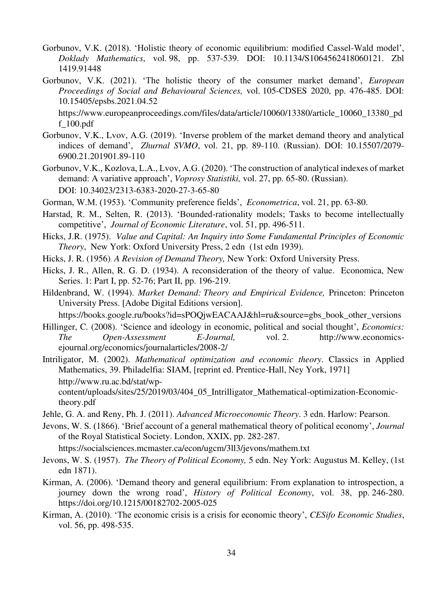- Gorbunov, V.K. (2018). 'Holistic theory of economic equilibrium: modified Cassel-Wald model', *Doklady Mathematics*, vol. 98, pp. 537-539. DOI: 10.1134/S1064562418060121. Zbl 1419.91448
- Gorbunov, V.K. (2021). 'The holistic theory of the consumer market demand', *European Proceedings of Social and Behavioural Sciences,* vol. 105-CDSES 2020, pp. 476-485. DOI: 10.15405/epsbs.2021.04.52

https://www.europeanproceedings.com/files/data/article/10060/13380/article\_10060\_13380\_pd f\_100.pdf

- Gorbunov, V.K., Lvov, A.G. (2019). '[Inverse problem of the market demand theory and analytical](http://journal.svmo.ru/en/archive/article?id=1645)  [indices of demand](http://journal.svmo.ru/en/archive/article?id=1645)', *Zhurnal SVMO*, vol. 21, pp. 89-110. (Russian). DOI: 10.15507/2079- 6900.21.201901.89-110
- Gorbunov, V.K., Kozlova, L.A., Lvov, A.G. (2020). 'The construction of analytical indexes of market demand: A variative approach', *Voprosy Statistiki,* vol. 27, pp. 65-80. (Russian). DOI: 10.34023/2313-6383-2020-27-3-65-80
- Gorman, W.M. (1953). 'Community preference fields', *Econometrica*, vol. 21, pp. 63-80.
- Harstad, R. M., Selten, R. (2013). 'Bounded-rationality models; Tasks to become intellectually competitive', *Journal of Economic Literature*, vol. 51, pp. 496-511.
- Hicks, J.R. (1975). *Value and Capital: An Inquiry into Some Fundamental Principles of Economic Theory*, New York: Oxford University Press, 2 edn (1st edn 1939).
- Hicks, J. R. (1956). *A Revision of Demand Theory,* New York: Oxford University Press.
- Hicks, J. R., Allen, R. G. D. (1934). A reconsideration of the theory of value. Economica, New Series. 1: Part I, pp. 52-76; Part II, pp. 196-219.
- Hildenbrand, W. (1994). *Market Demand: Theory and Empirical Evidence,* Princeton: Princeton University Press. [Adobe Digital Editions version].

[https://books.google.ru/books?id=sPOQjwEACAAJ&hl=ru&source=gbs\\_book\\_other\\_versions](https://books.google.ru/books?id=sPOQjwEACAAJ&hl=ru&source=gbs_book_other_versions) 

Hillinger, C*.* (2008). 'Science and ideology in economic, political and social thought', *Economics: The Open-Assessment E-Journal,* vol. 2. [http://www.economics](http://www.economics-ejournal.org/economics/journalarticles/2008-2/)[ejournal.org/economics/journalarticles/2008-2/](http://www.economics-ejournal.org/economics/journalarticles/2008-2/) 

Intriligator, M. (2002). *Mathematical optimization and economic theory*. Classics in Applied Mathematics, 39. Philadelfia: SIAM, [reprint ed. Prentice-Hall, Ney York, 1971] [http://www.ru.ac.bd/stat/wp](http://www.ru.ac.bd/stat/wp-content/uploads/sites/25/2019/03/404_05_Intrilligator_Mathematical-optimization-Economic-theory.pdf)[content/uploads/sites/25/2019/03/404\\_05\\_Intrilligator\\_Mathematical-optimization-Economic](http://www.ru.ac.bd/stat/wp-content/uploads/sites/25/2019/03/404_05_Intrilligator_Mathematical-optimization-Economic-theory.pdf)[theory.pdf](http://www.ru.ac.bd/stat/wp-content/uploads/sites/25/2019/03/404_05_Intrilligator_Mathematical-optimization-Economic-theory.pdf) 

- Jehle, G. A. and Reny, Ph. J. (2011). *Advanced Microeconomic Theory*. 3 edn. Harlow: Pearson.
- Jevons, W. S. (1866). 'Brief account of a general mathematical theory of political economy', *Journal*  of the Royal Statistical Society. London, XXIX, pp. 282-287.

<https://socialsciences.mcmaster.ca/econ/ugcm/3ll3/jevons/mathem.txt>

- Jevons, W. S. (1957). *The Theory of Political Economy,* 5 edn. Ney York: Augustus M. Kelley, (1st edn 1871).
- Kirman, A. (2006). 'Demand theory and general equilibrium: From explanation to introspection, a journey down the wrong road', *History of Political Economy*, vol. 38, pp. 246-280. https://doi.org/10.1215/00182702-2005-025
- Kirman, A. (2010). 'The economic crisis is a crisis for economic theory', *CESifo Economic Studies*, vol. 56, pp. 498-535.